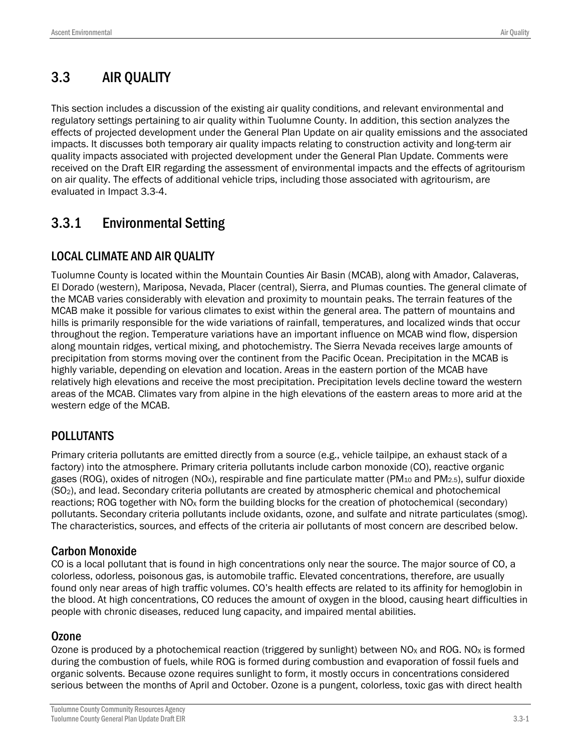# 3.3 AIR QUALITY

This section includes a discussion of the existing air quality conditions, and relevant environmental and regulatory settings pertaining to air quality within Tuolumne County. In addition, this section analyzes the effects of projected development under the General Plan Update on air quality emissions and the associated impacts. It discusses both temporary air quality impacts relating to construction activity and long-term air quality impacts associated with projected development under the General Plan Update. Comments were received on the Draft EIR regarding the assessment of environmental impacts and the effects of agritourism on air quality. The effects of additional vehicle trips, including those associated with agritourism, are evaluated in Impact 3.3-4.

# 3.3.1 Environmental Setting

## LOCAL CLIMATE AND AIR QUALITY

Tuolumne County is located within the Mountain Counties Air Basin (MCAB), along with Amador, Calaveras, El Dorado (western), Mariposa, Nevada, Placer (central), Sierra, and Plumas counties. The general climate of the MCAB varies considerably with elevation and proximity to mountain peaks. The terrain features of the MCAB make it possible for various climates to exist within the general area. The pattern of mountains and hills is primarily responsible for the wide variations of rainfall, temperatures, and localized winds that occur throughout the region. Temperature variations have an important influence on MCAB wind flow, dispersion along mountain ridges, vertical mixing, and photochemistry. The Sierra Nevada receives large amounts of precipitation from storms moving over the continent from the Pacific Ocean. Precipitation in the MCAB is highly variable, depending on elevation and location. Areas in the eastern portion of the MCAB have relatively high elevations and receive the most precipitation. Precipitation levels decline toward the western areas of the MCAB. Climates vary from alpine in the high elevations of the eastern areas to more arid at the western edge of the MCAB.

## POLLUTANTS

Primary criteria pollutants are emitted directly from a source (e.g., vehicle tailpipe, an exhaust stack of a factory) into the atmosphere. Primary criteria pollutants include carbon monoxide (CO), reactive organic gases (ROG), oxides of nitrogen (NO<sub>x</sub>), respirable and fine particulate matter (PM<sub>10</sub> and PM<sub>2.5</sub>), sulfur dioxide (SO2), and lead. Secondary criteria pollutants are created by atmospheric chemical and photochemical reactions; ROG together with  $NO<sub>x</sub>$  form the building blocks for the creation of photochemical (secondary) pollutants. Secondary criteria pollutants include oxidants, ozone, and sulfate and nitrate particulates (smog). The characteristics, sources, and effects of the criteria air pollutants of most concern are described below.

## Carbon Monoxide

CO is a local pollutant that is found in high concentrations only near the source. The major source of CO, a colorless, odorless, poisonous gas, is automobile traffic. Elevated concentrations, therefore, are usually found only near areas of high traffic volumes. CO's health effects are related to its affinity for hemoglobin in the blood. At high concentrations, CO reduces the amount of oxygen in the blood, causing heart difficulties in people with chronic diseases, reduced lung capacity, and impaired mental abilities.

#### Ozone

Ozone is produced by a photochemical reaction (triggered by sunlight) between  $NO<sub>X</sub>$  and ROG. NO<sub>x</sub> is formed during the combustion of fuels, while ROG is formed during combustion and evaporation of fossil fuels and organic solvents. Because ozone requires sunlight to form, it mostly occurs in concentrations considered serious between the months of April and October. Ozone is a pungent, colorless, toxic gas with direct health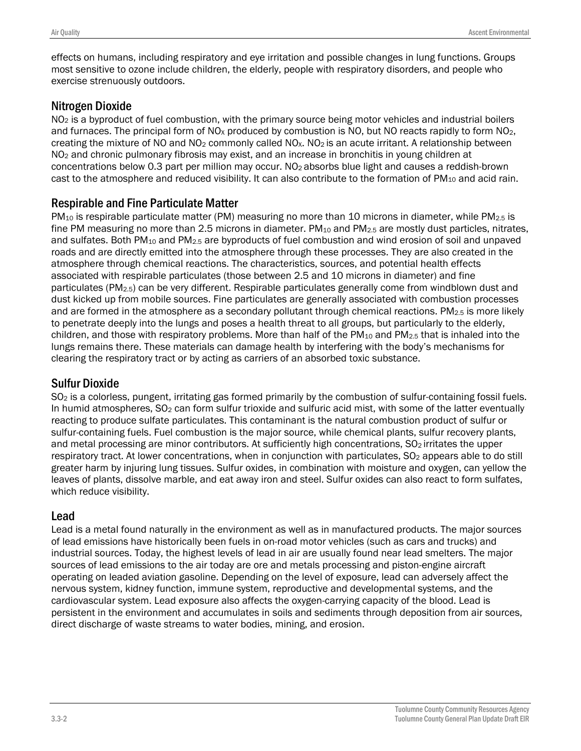effects on humans, including respiratory and eye irritation and possible changes in lung functions. Groups most sensitive to ozone include children, the elderly, people with respiratory disorders, and people who exercise strenuously outdoors.

#### Nitrogen Dioxide

NO<sub>2</sub> is a byproduct of fuel combustion, with the primary source being motor vehicles and industrial boilers and furnaces. The principal form of  $NO<sub>X</sub>$  produced by combustion is NO, but NO reacts rapidly to form  $NO<sub>2</sub>$ , creating the mixture of NO and NO<sub>2</sub> commonly called NO<sub>x</sub>. NO<sub>2</sub> is an acute irritant. A relationship between NO<sub>2</sub> and chronic pulmonary fibrosis may exist, and an increase in bronchitis in young children at concentrations below 0.3 part per million may occur. NO2 absorbs blue light and causes a reddish-brown cast to the atmosphere and reduced visibility. It can also contribute to the formation of  $PM_{10}$  and acid rain.

#### Respirable and Fine Particulate Matter

 $PM_{10}$  is respirable particulate matter (PM) measuring no more than 10 microns in diameter, while PM<sub>2.5</sub> is fine PM measuring no more than 2.5 microns in diameter. PM<sub>10</sub> and PM<sub>2.5</sub> are mostly dust particles, nitrates, and sulfates. Both  $PM_{10}$  and  $PM_{2.5}$  are byproducts of fuel combustion and wind erosion of soil and unpaved roads and are directly emitted into the atmosphere through these processes. They are also created in the atmosphere through chemical reactions. The characteristics, sources, and potential health effects associated with respirable particulates (those between 2.5 and 10 microns in diameter) and fine particulates ( $PM_{2.5}$ ) can be very different. Respirable particulates generally come from windblown dust and dust kicked up from mobile sources. Fine particulates are generally associated with combustion processes and are formed in the atmosphere as a secondary pollutant through chemical reactions. PM<sub>2.5</sub> is more likely to penetrate deeply into the lungs and poses a health threat to all groups, but particularly to the elderly, children, and those with respiratory problems. More than half of the PM<sub>10</sub> and PM<sub>2.5</sub> that is inhaled into the lungs remains there. These materials can damage health by interfering with the body's mechanisms for clearing the respiratory tract or by acting as carriers of an absorbed toxic substance.

### Sulfur Dioxide

SO<sub>2</sub> is a colorless, pungent, irritating gas formed primarily by the combustion of sulfur-containing fossil fuels. In humid atmospheres, SO<sub>2</sub> can form sulfur trioxide and sulfuric acid mist, with some of the latter eventually reacting to produce sulfate particulates. This contaminant is the natural combustion product of sulfur or sulfur-containing fuels. Fuel combustion is the major source, while chemical plants, sulfur recovery plants, and metal processing are minor contributors. At sufficiently high concentrations, SO<sub>2</sub> irritates the upper respiratory tract. At lower concentrations, when in conjunction with particulates, SO<sub>2</sub> appears able to do still greater harm by injuring lung tissues. Sulfur oxides, in combination with moisture and oxygen, can yellow the leaves of plants, dissolve marble, and eat away iron and steel. Sulfur oxides can also react to form sulfates, which reduce visibility.

#### Lead

Lead is a metal found naturally in the environment as well as in manufactured products. The major sources of lead emissions have historically been fuels in on-road motor vehicles (such as cars and trucks) and industrial sources. Today, the highest levels of lead in air are usually found near lead smelters. The major sources of lead emissions to the air today are ore and metals processing and piston-engine aircraft operating on leaded aviation gasoline. Depending on the level of exposure, lead can adversely affect the nervous system, kidney function, immune system, reproductive and developmental systems, and the cardiovascular system. Lead exposure also affects the oxygen-carrying capacity of the blood. Lead is persistent in the environment and accumulates in soils and sediments through deposition from air sources, direct discharge of waste streams to water bodies, mining, and erosion.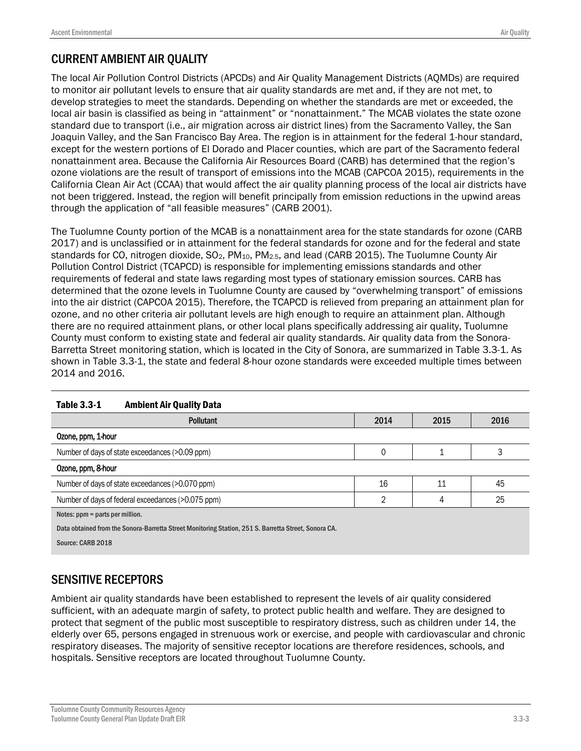## CURRENT AMBIENT AIR QUALITY

The local Air Pollution Control Districts (APCDs) and Air Quality Management Districts (AQMDs) are required to monitor air pollutant levels to ensure that air quality standards are met and, if they are not met, to develop strategies to meet the standards. Depending on whether the standards are met or exceeded, the local air basin is classified as being in "attainment" or "nonattainment." The MCAB violates the state ozone standard due to transport (i.e., air migration across air district lines) from the Sacramento Valley, the San Joaquin Valley, and the San Francisco Bay Area. The region is in attainment for the federal 1-hour standard, except for the western portions of El Dorado and Placer counties, which are part of the Sacramento federal nonattainment area. Because the California Air Resources Board (CARB) has determined that the region's ozone violations are the result of transport of emissions into the MCAB (CAPCOA 2015), requirements in the California Clean Air Act (CCAA) that would affect the air quality planning process of the local air districts have not been triggered. Instead, the region will benefit principally from emission reductions in the upwind areas through the application of "all feasible measures" (CARB 2001).

The Tuolumne County portion of the MCAB is a nonattainment area for the state standards for ozone (CARB 2017) and is unclassified or in attainment for the federal standards for ozone and for the federal and state standards for CO, nitrogen dioxide, SO<sub>2</sub>, PM<sub>10</sub>, PM<sub>2.5</sub>, and lead (CARB 2015). The Tuolumne County Air Pollution Control District (TCAPCD) is responsible for implementing emissions standards and other requirements of federal and state laws regarding most types of stationary emission sources. CARB has determined that the ozone levels in Tuolumne County are caused by "overwhelming transport" of emissions into the air district (CAPCOA 2015). Therefore, the TCAPCD is relieved from preparing an attainment plan for ozone, and no other criteria air pollutant levels are high enough to require an attainment plan. Although there are no required attainment plans, or other local plans specifically addressing air quality, Tuolumne County must conform to existing state and federal air quality standards. Air quality data from the Sonora-Barretta Street monitoring station, which is located in the City of Sonora, are summarized in Table 3.3-1. As shown in Table 3.3-1, the state and federal 8-hour ozone standards were exceeded multiple times between 2014 and 2016.

| 2014<br>2016<br>2015<br><b>Pollutant</b>                                                             |  |  |  |  |  |
|------------------------------------------------------------------------------------------------------|--|--|--|--|--|
| Ozone, ppm, 1-hour                                                                                   |  |  |  |  |  |
| 3<br>Number of days of state exceedances (>0.09 ppm)<br>0                                            |  |  |  |  |  |
| Ozone, ppm, 8-hour                                                                                   |  |  |  |  |  |
| 16<br>45<br>Number of days of state exceedances (>0.070 ppm)<br>11                                   |  |  |  |  |  |
| 25<br>Number of days of federal exceedances (>0.075 ppm)<br>C<br>4                                   |  |  |  |  |  |
| Notes: ppm = parts per million.                                                                      |  |  |  |  |  |
| Data obtained from the Sonora-Barretta Street Monitoring Station, 251 S. Barretta Street, Sonora CA. |  |  |  |  |  |
| Source: CARB 2018                                                                                    |  |  |  |  |  |
|                                                                                                      |  |  |  |  |  |

#### *0B*Table 3.3-1 Ambient Air Quality Data

## SENSITIVE RECEPTORS

Ambient air quality standards have been established to represent the levels of air quality considered sufficient, with an adequate margin of safety, to protect public health and welfare. They are designed to protect that segment of the public most susceptible to respiratory distress, such as children under 14, the elderly over 65, persons engaged in strenuous work or exercise, and people with cardiovascular and chronic respiratory diseases. The majority of sensitive receptor locations are therefore residences, schools, and hospitals. Sensitive receptors are located throughout Tuolumne County.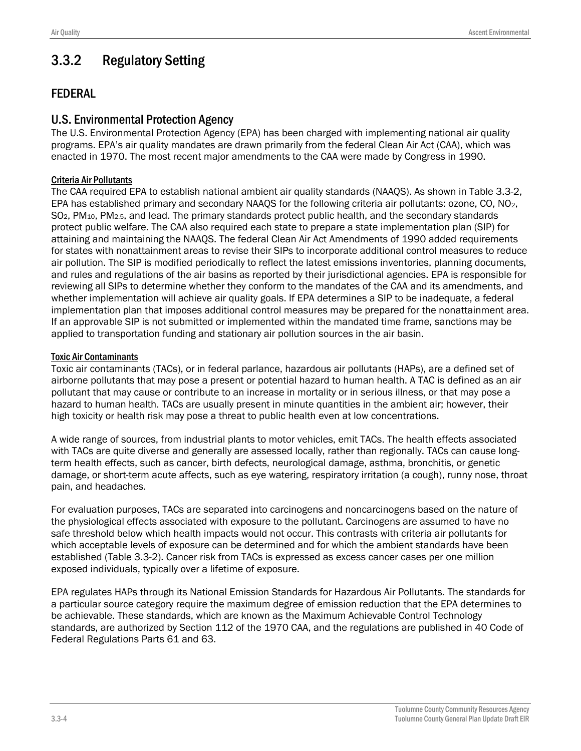# 3.3.2 Regulatory Setting

#### FEDERAL

#### U.S. Environmental Protection Agency

The U.S. Environmental Protection Agency (EPA) has been charged with implementing national air quality programs. EPA's air quality mandates are drawn primarily from the federal Clean Air Act (CAA), which was enacted in 1970. The most recent major amendments to the CAA were made by Congress in 1990.

#### Criteria Air Pollutants

The CAA required EPA to establish national ambient air quality standards (NAAQS). As shown in Table 3.3-2, EPA has established primary and secondary NAAQS for the following criteria air pollutants: ozone, CO, NO2, SO2, PM10, PM2.5, and lead. The primary standards protect public health, and the secondary standards protect public welfare. The CAA also required each state to prepare a state implementation plan (SIP) for attaining and maintaining the NAAQS. The federal Clean Air Act Amendments of 1990 added requirements for states with nonattainment areas to revise their SIPs to incorporate additional control measures to reduce air pollution. The SIP is modified periodically to reflect the latest emissions inventories, planning documents, and rules and regulations of the air basins as reported by their jurisdictional agencies. EPA is responsible for reviewing all SIPs to determine whether they conform to the mandates of the CAA and its amendments, and whether implementation will achieve air quality goals. If EPA determines a SIP to be inadequate, a federal implementation plan that imposes additional control measures may be prepared for the nonattainment area. If an approvable SIP is not submitted or implemented within the mandated time frame, sanctions may be applied to transportation funding and stationary air pollution sources in the air basin.

#### Toxic Air Contaminants

Toxic air contaminants (TACs), or in federal parlance, hazardous air pollutants (HAPs), are a defined set of airborne pollutants that may pose a present or potential hazard to human health. A TAC is defined as an air pollutant that may cause or contribute to an increase in mortality or in serious illness, or that may pose a hazard to human health. TACs are usually present in minute quantities in the ambient air; however, their high toxicity or health risk may pose a threat to public health even at low concentrations.

A wide range of sources, from industrial plants to motor vehicles, emit TACs. The health effects associated with TACs are quite diverse and generally are assessed locally, rather than regionally. TACs can cause longterm health effects, such as cancer, birth defects, neurological damage, asthma, bronchitis, or genetic damage, or short-term acute affects, such as eye watering, respiratory irritation (a cough), runny nose, throat pain, and headaches.

For evaluation purposes, TACs are separated into carcinogens and noncarcinogens based on the nature of the physiological effects associated with exposure to the pollutant. Carcinogens are assumed to have no safe threshold below which health impacts would not occur. This contrasts with criteria air pollutants for which acceptable levels of exposure can be determined and for which the ambient standards have been established (Table 3.3-2). Cancer risk from TACs is expressed as excess cancer cases per one million exposed individuals, typically over a lifetime of exposure.

EPA regulates HAPs through its National Emission Standards for Hazardous Air Pollutants. The standards for a particular source category require the maximum degree of emission reduction that the EPA determines to be achievable. These standards, which are known as the Maximum Achievable Control Technology standards, are authorized by Section 112 of the 1970 CAA, and the regulations are published in 40 [Code of](https://en.wikipedia.org/wiki/Code_of_Federal_Regulations)  [Federal Re](https://en.wikipedia.org/wiki/Code_of_Federal_Regulations)gulations Parts 61 and 63.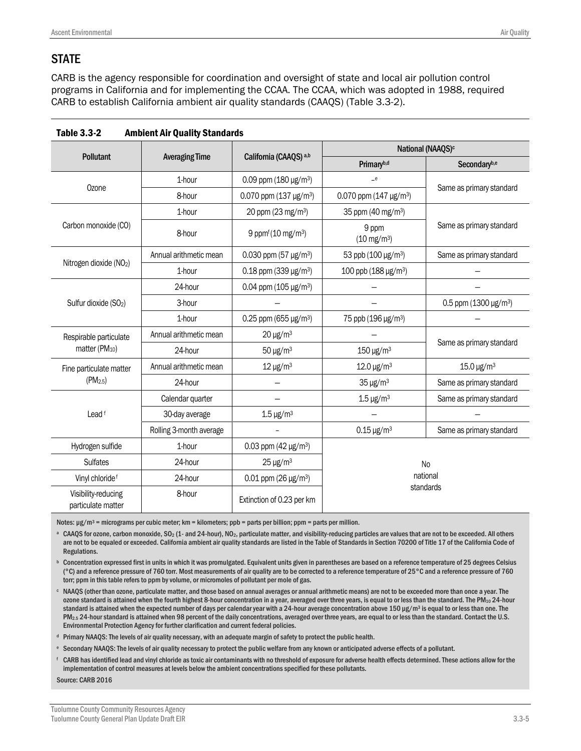### **STATE**

CARB is the agency responsible for coordination and oversight of state and local air pollution control programs in California and for implementing the CCAA. The CCAA, which was adopted in 1988, required CARB to establish California ambient air quality standards (CAAQS) (Table 3.3-2).

|                                           |                         |                                         | National (NAAQS) <sup>c</sup>           |                                         |  |  |
|-------------------------------------------|-------------------------|-----------------------------------------|-----------------------------------------|-----------------------------------------|--|--|
| Pollutant                                 | <b>Averaging Time</b>   | California (CAAQS) a,b                  | Primaryb,d                              | Secondaryb,e                            |  |  |
|                                           | 1-hour                  | 0.09 ppm $(180 \,\mathrm{µg/m^3})$      | $-e$                                    |                                         |  |  |
| Ozone                                     | 8-hour                  | 0.070 ppm $(137 \,\mu g/m^3)$           | 0.070 ppm (147 $\mu$ g/m <sup>3</sup> ) | Same as primary standard                |  |  |
|                                           | 1-hour                  | 20 ppm (23 mg/m <sup>3</sup> )          | 35 ppm (40 mg/m <sup>3</sup> )          |                                         |  |  |
| Carbon monoxide (CO)                      | 8-hour                  | 9 ppmf (10 mg/m <sup>3</sup> )          | 9 ppm<br>$(10 \text{ mg/m}^3)$          | Same as primary standard                |  |  |
|                                           | Annual arithmetic mean  | 0.030 ppm (57 $\mu$ g/m <sup>3</sup> )  | 53 ppb (100 µg/m <sup>3</sup> )         | Same as primary standard                |  |  |
| Nitrogen dioxide (NO <sub>2</sub> )       | 1-hour                  | $0.18$ ppm (339 µg/m <sup>3</sup> )     | 100 ppb (188 µg/m <sup>3</sup> )        |                                         |  |  |
|                                           | 24-hour                 | 0.04 ppm $(105 \,\mathrm{\upmu g/m^3})$ |                                         |                                         |  |  |
| Sulfur dioxide (SO <sub>2</sub> )         | 3-hour                  |                                         |                                         | 0.5 ppm $(1300 \,\mathrm{\upmu g/m^3})$ |  |  |
|                                           | 1-hour                  | 0.25 ppm (655 $\mu$ g/m <sup>3</sup> )  | 75 ppb (196 µg/m <sup>3</sup> )         |                                         |  |  |
| Respirable particulate                    | Annual arithmetic mean  | $20 \mu g/m^3$                          |                                         |                                         |  |  |
| matter (PM <sub>10</sub> )                | 24-hour                 | $50 \mu g/m^3$                          | $150 \,\mathrm{\upmu g/m^3}$            | Same as primary standard                |  |  |
| Fine particulate matter                   | Annual arithmetic mean  | $12 \mu g/m^3$                          | $12.0 \,\mathrm{\upmu g/m^3}$           | $15.0 \,\mathrm{\upmu g/m^3}$           |  |  |
| $(PM_{2.5})$                              | 24-hour                 |                                         | $35 \mu g/m3$                           | Same as primary standard                |  |  |
|                                           | Calendar quarter        |                                         | $1.5 \,\mathrm{\upmu g/m^3}$            | Same as primary standard                |  |  |
| Lead <sup>f</sup>                         | 30-day average          | $1.5 \,\mathrm{\upmu g/m^3}$            |                                         |                                         |  |  |
|                                           | Rolling 3-month average |                                         | $0.15 \,\mathrm{\upmu g/m^3}$           | Same as primary standard                |  |  |
| Hydrogen sulfide                          | 1-hour                  | 0.03 ppm (42 $\mu$ g/m <sup>3</sup> )   |                                         |                                         |  |  |
| <b>Sulfates</b>                           | 24-hour                 | $25 \mu g/m^3$                          | <b>No</b><br>national<br>standards      |                                         |  |  |
| Vinyl chloride <sup>f</sup>               | 24-hour                 | $0.01$ ppm (26 µg/m <sup>3</sup> )      |                                         |                                         |  |  |
| Visibility-reducing<br>particulate matter | 8-hour                  | Extinction of 0.23 per km               |                                         |                                         |  |  |

| <b>Ambient Air Quality Standards</b><br>Table 3.3-2 |
|-----------------------------------------------------|
|-----------------------------------------------------|

Notes:  $\mu$ g/m<sup>3</sup> = micrograms per cubic meter; km = kilometers; ppb = parts per billion; ppm = parts per million.

<sup>a</sup> CAAQS for ozone, carbon monoxide, SO<sub>2</sub> (1- and 24-hour), NO<sub>2</sub>, particulate matter, and visibility-reducing particles are values that are not to be exceeded. All others are not to be equaled or exceeded. California ambient air quality standards are listed in the Table of Standards in Section 70200 of Title 17 of the California Code of Regulations.

**b** Concentration expressed first in units in which it was promulgated. Equivalent units given in parentheses are based on a reference temperature of 25 degrees Celsius (°C) and a reference pressure of 760 torr. Most measurements of air quality are to be corrected to a reference temperature of 25°C and a reference pressure of 760 torr; ppm in this table refers to ppm by volume, or micromoles of pollutant per mole of gas.

<sup>c</sup> NAAQS (other than ozone, particulate matter, and those based on annual averages or annual arithmeticmeans) are not to be exceeded more than once a year. The ozone standard is attained when the fourth highest 8-hour concentration in a year, averaged over three years, is equal to or less than the standard. The PM<sub>10</sub> 24-hour standard is attained when the expected number of days per calendar year with a 24-hour average concentration above 150 µg/m<sup>3</sup> is equal to or less than one. The PM<sub>2.5</sub> 24-hour standard is attained when 98 percent of the daily concentrations, averaged over three years, are equal to or less than the standard. Contact the U.S. Environmental Protection Agency for further clarification and current federal policies.

<sup>d</sup> Primary NAAQS: The levels of air quality necessary, with an adequate margin of safety to protect the public health.

<sup>e</sup> Secondary NAAQS: The levels of air quality necessary to protect the public welfare from any known or anticipated adverse effects of a pollutant.

<sup>f</sup> CARB has identified lead and vinyl chloride as toxic air contaminants with no threshold of exposure for adverse health effects determined. These actions allow for the implementation of control measures at levels below the ambient concentrations specified for these pollutants.

Source: CARB 2016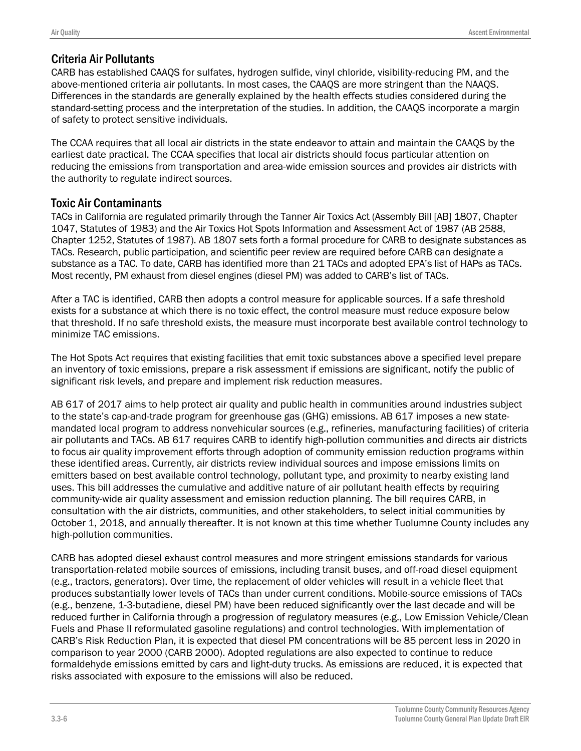### Criteria Air Pollutants

CARB has established CAAQS for sulfates, hydrogen sulfide, vinyl chloride, visibility-reducing PM, and the above-mentioned criteria air pollutants. In most cases, the CAAQS are more stringent than the NAAQS. Differences in the standards are generally explained by the health effects studies considered during the standard-setting process and the interpretation of the studies. In addition, the CAAQS incorporate a margin of safety to protect sensitive individuals.

The CCAA requires that all local air districts in the state endeavor to attain and maintain the CAAQS by the earliest date practical. The CCAA specifies that local air districts should focus particular attention on reducing the emissions from transportation and area-wide emission sources and provides air districts with the authority to regulate indirect sources.

#### Toxic Air Contaminants

TACs in California are regulated primarily through the Tanner Air Toxics Act (Assembly Bill [AB] 1807, Chapter 1047, Statutes of 1983) and the Air Toxics Hot Spots Information and Assessment Act of 1987 (AB 2588, Chapter 1252, Statutes of 1987). AB 1807 sets forth a formal procedure for CARB to designate substances as TACs. Research, public participation, and scientific peer review are required before CARB can designate a substance as a TAC. To date, CARB has identified more than 21 TACs and adopted EPA's list of HAPs as TACs. Most recently, PM exhaust from diesel engines (diesel PM) was added to CARB's list of TACs.

After a TAC is identified, CARB then adopts a control measure for applicable sources. If a safe threshold exists for a substance at which there is no toxic effect, the control measure must reduce exposure below that threshold. If no safe threshold exists, the measure must incorporate best available control technology to minimize TAC emissions.

The Hot Spots Act requires that existing facilities that emit toxic substances above a specified level prepare an inventory of toxic emissions, prepare a risk assessment if emissions are significant, notify the public of significant risk levels, and prepare and implement risk reduction measures.

AB 617 of 2017 aims to help protect air quality and public health in communities around industries subject to the state's cap-and-trade program for greenhouse gas (GHG) emissions. AB 617 imposes a new statemandated local program to address nonvehicular sources (e.g., refineries, manufacturing facilities) of criteria air pollutants and TACs. AB 617 requires CARB to identify high-pollution communities and directs air districts to focus air quality improvement efforts through adoption of community emission reduction programs within these identified areas. Currently, air districts review individual sources and impose emissions limits on emitters based on best available control technology, pollutant type, and proximity to nearby existing land uses. This bill addresses the cumulative and additive nature of air pollutant health effects by requiring community-wide air quality assessment and emission reduction planning. The bill requires CARB, in consultation with the air districts, communities, and other stakeholders, to select initial communities by October 1, 2018, and annually thereafter. It is not known at this time whether Tuolumne County includes any high-pollution communities.

CARB has adopted diesel exhaust control measures and more stringent emissions standards for various transportation-related mobile sources of emissions, including transit buses, and off-road diesel equipment (e.g., tractors, generators). Over time, the replacement of older vehicles will result in a vehicle fleet that produces substantially lower levels of TACs than under current conditions. Mobile-source emissions of TACs (e.g., benzene, 1-3-butadiene, diesel PM) have been reduced significantly over the last decade and will be reduced further in California through a progression of regulatory measures (e.g., Low Emission Vehicle/Clean Fuels and Phase II reformulated gasoline regulations) and control technologies. With implementation of CARB's Risk Reduction Plan, it is expected that diesel PM concentrations will be 85 percent less in 2020 in comparison to year 2000 (CARB 2000). Adopted regulations are also expected to continue to reduce formaldehyde emissions emitted by cars and light-duty trucks. As emissions are reduced, it is expected that risks associated with exposure to the emissions will also be reduced.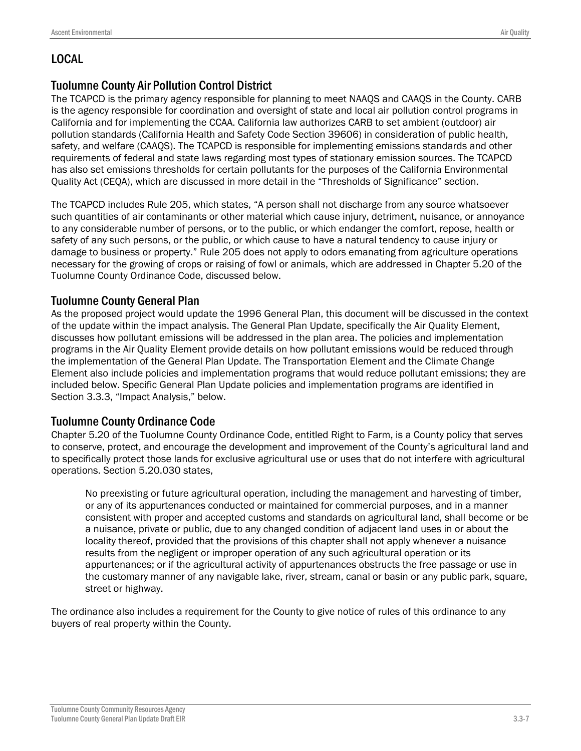## LOCAL

### Tuolumne County Air Pollution Control District

The TCAPCD is the primary agency responsible for planning to meet NAAQS and CAAQS in the County. CARB is the agency responsible for coordination and oversight of state and local air pollution control programs in California and for implementing the CCAA. California law authorizes CARB to set ambient (outdoor) air pollution standards (California Health and Safety Code Section 39606) in consideration of public health, safety, and welfare (CAAQS). The TCAPCD is responsible for implementing emissions standards and other requirements of federal and state laws regarding most types of stationary emission sources. The TCAPCD has also set emissions thresholds for certain pollutants for the purposes of the California Environmental Quality Act (CEQA), which are discussed in more detail in the "Thresholds of Significance" section.

The TCAPCD includes Rule 205, which states, "A person shall not discharge from any source whatsoever such quantities of air contaminants or other material which cause injury, detriment, nuisance, or annoyance to any considerable number of persons, or to the public, or which endanger the comfort, repose, health or safety of any such persons, or the public, or which cause to have a natural tendency to cause injury or damage to business or property." Rule 205 does not apply to odors emanating from agriculture operations necessary for the growing of crops or raising of fowl or animals, which are addressed in Chapter 5.20 of the Tuolumne County Ordinance Code, discussed below.

#### Tuolumne County General Plan

As the proposed project would update the 1996 General Plan, this document will be discussed in the context of the update within the impact analysis. The General Plan Update, specifically the Air Quality Element, discusses how pollutant emissions will be addressed in the plan area. The policies and implementation programs in the Air Quality Element provide details on how pollutant emissions would be reduced through the implementation of the General Plan Update. The Transportation Element and the Climate Change Element also include policies and implementation programs that would reduce pollutant emissions; they are included below. Specific General Plan Update policies and implementation programs are identified in Section 3.3.3, "Impact Analysis," below.

#### Tuolumne County Ordinance Code

Chapter 5.20 of the Tuolumne County Ordinance Code, entitled Right to Farm, is a County policy that serves to conserve, protect, and encourage the development and improvement of the County's agricultural land and to specifically protect those lands for exclusive agricultural use or uses that do not interfere with agricultural operations. Section 5.20.030 states,

No preexisting or future agricultural operation, including the management and harvesting of timber, or any of its appurtenances conducted or maintained for commercial purposes, and in a manner consistent with proper and accepted customs and standards on agricultural land, shall become or be a nuisance, private or public, due to any changed condition of adjacent land uses in or about the locality thereof, provided that the provisions of this chapter shall not apply whenever a nuisance results from the negligent or improper operation of any such agricultural operation or its appurtenances; or if the agricultural activity of appurtenances obstructs the free passage or use in the customary manner of any navigable lake, river, stream, canal or basin or any public park, square, street or highway.

The ordinance also includes a requirement for the County to give notice of rules of this ordinance to any buyers of real property within the County.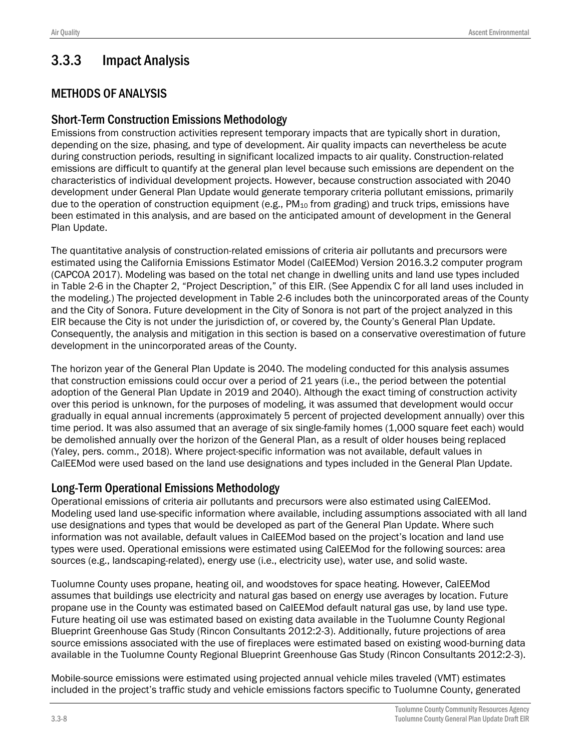# 3.3.3 Impact Analysis

### METHODS OF ANALYSIS

#### Short-Term Construction Emissions Methodology

Emissions from construction activities represent temporary impacts that are typically short in duration, depending on the size, phasing, and type of development. Air quality impacts can nevertheless be acute during construction periods, resulting in significant localized impacts to air quality. Construction-related emissions are difficult to quantify at the general plan level because such emissions are dependent on the characteristics of individual development projects. However, because construction associated with 2040 development under General Plan Update would generate temporary criteria pollutant emissions, primarily due to the operation of construction equipment (e.g.,  $PM_{10}$  from grading) and truck trips, emissions have been estimated in this analysis, and are based on the anticipated amount of development in the General Plan Update.

The quantitative analysis of construction-related emissions of criteria air pollutants and precursors were estimated using the California Emissions Estimator Model (CalEEMod) Version 2016.3.2 computer program (CAPCOA 2017). Modeling was based on the total net change in dwelling units and land use types included in Table 2-6 in the Chapter 2, "Project Description," of this EIR. (See Appendix C for all land uses included in the modeling.) The projected development in Table 2-6 includes both the unincorporated areas of the County and the City of Sonora. Future development in the City of Sonora is not part of the project analyzed in this EIR because the City is not under the jurisdiction of, or covered by, the County's General Plan Update. Consequently, the analysis and mitigation in this section is based on a conservative overestimation of future development in the unincorporated areas of the County.

The horizon year of the General Plan Update is 2040. The modeling conducted for this analysis assumes that construction emissions could occur over a period of 21 years (i.e., the period between the potential adoption of the General Plan Update in 2019 and 2040). Although the exact timing of construction activity over this period is unknown, for the purposes of modeling, it was assumed that development would occur gradually in equal annual increments (approximately 5 percent of projected development annually) over this time period. It was also assumed that an average of six single-family homes (1,000 square feet each) would be demolished annually over the horizon of the General Plan, as a result of older houses being replaced (Yaley, pers. comm., 2018). Where project-specific information was not available, default values in CalEEMod were used based on the land use designations and types included in the General Plan Update.

#### Long-Term Operational Emissions Methodology

Operational emissions of criteria air pollutants and precursors were also estimated using CalEEMod. Modeling used land use-specific information where available, including assumptions associated with all land use designations and types that would be developed as part of the General Plan Update. Where such information was not available, default values in CalEEMod based on the project's location and land use types were used. Operational emissions were estimated using CalEEMod for the following sources: area sources (e.g., landscaping-related), energy use (i.e., electricity use), water use, and solid waste.

Tuolumne County uses propane, heating oil, and woodstoves for space heating. However, CalEEMod assumes that buildings use electricity and natural gas based on energy use averages by location. Future propane use in the County was estimated based on CalEEMod default natural gas use, by land use type. Future heating oil use was estimated based on existing data available in the Tuolumne County Regional Blueprint Greenhouse Gas Study (Rincon Consultants 2012:2-3). Additionally, future projections of area source emissions associated with the use of fireplaces were estimated based on existing wood-burning data available in the Tuolumne County Regional Blueprint Greenhouse Gas Study (Rincon Consultants 2012:2-3).

Mobile-source emissions were estimated using projected annual vehicle miles traveled (VMT) estimates included in the project's traffic study and vehicle emissions factors specific to Tuolumne County, generated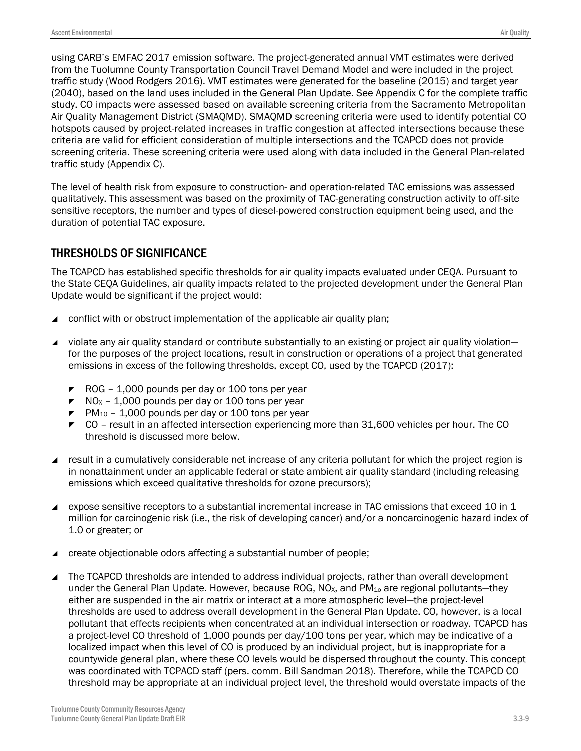using CARB's EMFAC 2017 emission software. The project-generated annual VMT estimates were derived from the Tuolumne County Transportation Council Travel Demand Model and were included in the project traffic study (Wood Rodgers 2016). VMT estimates were generated for the baseline (2015) and target year (2040), based on the land uses included in the General Plan Update. See Appendix C for the complete traffic study. CO impacts were assessed based on available screening criteria from the Sacramento Metropolitan Air Quality Management District (SMAQMD). SMAQMD screening criteria were used to identify potential CO hotspots caused by project-related increases in traffic congestion at affected intersections because these criteria are valid for efficient consideration of multiple intersections and the TCAPCD does not provide screening criteria. These screening criteria were used along with data included in the General Plan-related traffic study (Appendix C).

The level of health risk from exposure to construction- and operation-related TAC emissions was assessed qualitatively. This assessment was based on the proximity of TAC-generating construction activity to off-site sensitive receptors, the number and types of diesel-powered construction equipment being used, and the duration of potential TAC exposure.

#### THRESHOLDS OF SIGNIFICANCE

The TCAPCD has established specific thresholds for air quality impacts evaluated under CEQA. Pursuant to the State CEQA Guidelines, air quality impacts related to the projected development under the General Plan Update would be significant if the project would:

- conflict with or obstruct implementation of the applicable air quality plan;
- violate any air quality standard or contribute substantially to an existing or project air quality violation for the purposes of the project locations, result in construction or operations of a project that generated emissions in excess of the following thresholds, except CO, used by the TCAPCD (2017):
	- $\blacktriangleright$  ROG 1,000 pounds per day or 100 tons per year
	- $\blacktriangleright$  NO<sub>x</sub> 1,000 pounds per day or 100 tons per year
	- $\blacktriangleright$  PM<sub>10</sub> 1,000 pounds per day or 100 tons per year
	- $\triangleright$  CO result in an affected intersection experiencing more than 31,600 vehicles per hour. The CO threshold is discussed more below.
- result in a cumulatively considerable net increase of any criteria pollutant for which the project region is in nonattainment under an applicable federal or state ambient air quality standard (including releasing emissions which exceed qualitative thresholds for ozone precursors);
- expose sensitive receptors to a substantial incremental increase in TAC emissions that exceed 10 in 1 million for carcinogenic risk (i.e., the risk of developing cancer) and/or a noncarcinogenic hazard index of 1.0 or greater; or
- create objectionable odors affecting a substantial number of people;
- The TCAPCD thresholds are intended to address individual projects, rather than overall development under the General Plan Update. However, because ROG, NO<sub>x</sub>, and PM<sub>10</sub> are regional pollutants—they either are suspended in the air matrix or interact at a more atmospheric level—the project-level thresholds are used to address overall development in the General Plan Update. CO, however, is a local pollutant that effects recipients when concentrated at an individual intersection or roadway. TCAPCD has a project-level CO threshold of 1,000 pounds per day/100 tons per year, which may be indicative of a localized impact when this level of CO is produced by an individual project, but is inappropriate for a countywide general plan, where these CO levels would be dispersed throughout the county. This concept was coordinated with TCPACD staff (pers. comm. Bill Sandman 2018). Therefore, while the TCAPCD CO threshold may be appropriate at an individual project level, the threshold would overstate impacts of the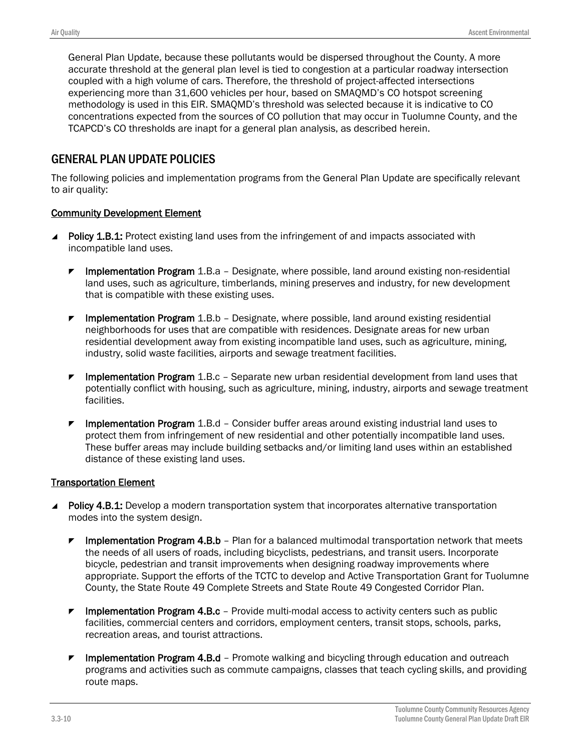General Plan Update, because these pollutants would be dispersed throughout the County. A more accurate threshold at the general plan level is tied to congestion at a particular roadway intersection coupled with a high volume of cars. Therefore, the threshold of project-affected intersections experiencing more than 31,600 vehicles per hour, based on SMAQMD's CO hotspot screening methodology is used in this EIR. SMAQMD's threshold was selected because it is indicative to CO concentrations expected from the sources of CO pollution that may occur in Tuolumne County, and the TCAPCD's CO thresholds are inapt for a general plan analysis, as described herein.

#### GENERAL PLAN UPDATE POLICIES

The following policies and implementation programs from the General Plan Update are specifically relevant to air quality:

#### Community Development Element

- **Policy 1.B.1:** Protect existing land uses from the infringement of and impacts associated with incompatible land uses.
	- **F** Implementation Program 1.B.a Designate, where possible, land around existing non-residential land uses, such as agriculture, timberlands, mining preserves and industry, for new development that is compatible with these existing uses.
	- Implementation Program 1.B.b Designate, where possible, land around existing residential neighborhoods for uses that are compatible with residences. Designate areas for new urban residential development away from existing incompatible land uses, such as agriculture, mining, industry, solid waste facilities, airports and sewage treatment facilities.
	- **F** Implementation Program 1.B.c Separate new urban residential development from land uses that potentially conflict with housing, such as agriculture, mining, industry, airports and sewage treatment facilities.
	- **F** Implementation Program 1.B.d Consider buffer areas around existing industrial land uses to protect them from infringement of new residential and other potentially incompatible land uses. These buffer areas may include building setbacks and/or limiting land uses within an established distance of these existing land uses.

#### Transportation Element

- **Policy 4.B.1:** Develop a modern transportation system that incorporates alternative transportation modes into the system design.
	- Implementation Program 4.B.b Plan for a balanced multimodal transportation network that meets the needs of all users of roads, including bicyclists, pedestrians, and transit users. Incorporate bicycle, pedestrian and transit improvements when designing roadway improvements where appropriate. Support the efforts of the TCTC to develop and Active Transportation Grant for Tuolumne County, the State Route 49 Complete Streets and State Route 49 Congested Corridor Plan.
	- **F** Implementation Program 4.B.c Provide multi-modal access to activity centers such as public facilities, commercial centers and corridors, employment centers, transit stops, schools, parks, recreation areas, and tourist attractions.
	- Implementation Program 4.B.d Promote walking and bicycling through education and outreach programs and activities such as commute campaigns, classes that teach cycling skills, and providing route maps.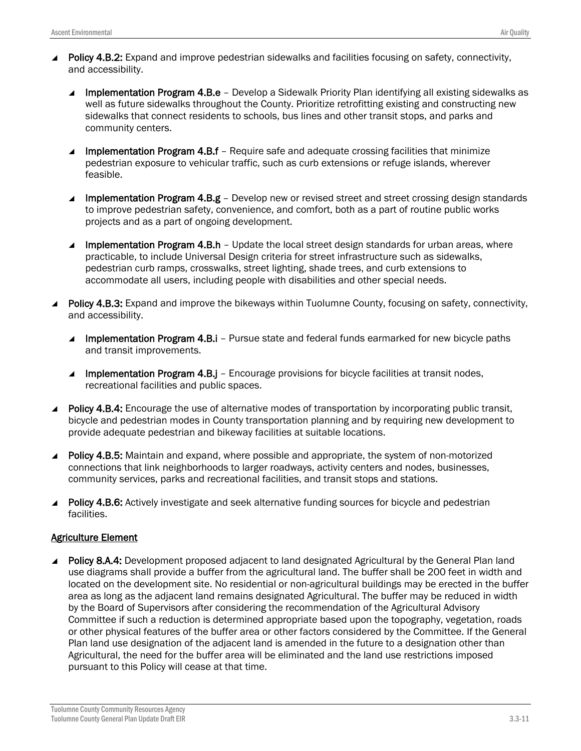- Policy 4.B.2: Expand and improve pedestrian sidewalks and facilities focusing on safety, connectivity, and accessibility.
	- Implementation Program 4.B.e Develop a Sidewalk Priority Plan identifying all existing sidewalks as well as future sidewalks throughout the County. Prioritize retrofitting existing and constructing new sidewalks that connect residents to schools, bus lines and other transit stops, and parks and community centers.
	- **Implementation Program 4.B.f** Require safe and adequate crossing facilities that minimize pedestrian exposure to vehicular traffic, such as curb extensions or refuge islands, wherever feasible.
	- Implementation Program 4.B.g Develop new or revised street and street crossing design standards to improve pedestrian safety, convenience, and comfort, both as a part of routine public works projects and as a part of ongoing development.
	- Implementation Program 4.B.h Update the local street design standards for urban areas, where practicable, to include Universal Design criteria for street infrastructure such as sidewalks, pedestrian curb ramps, crosswalks, street lighting, shade trees, and curb extensions to accommodate all users, including people with disabilities and other special needs.
- Policy 4.B.3: Expand and improve the bikeways within Tuolumne County, focusing on safety, connectivity, and accessibility.
	- Implementation Program 4.B.i Pursue state and federal funds earmarked for new bicycle paths and transit improvements.
	- Implementation Program 4.B.j Encourage provisions for bicycle facilities at transit nodes, recreational facilities and public spaces.
- Policy 4.B.4: Encourage the use of alternative modes of transportation by incorporating public transit, bicycle and pedestrian modes in County transportation planning and by requiring new development to provide adequate pedestrian and bikeway facilities at suitable locations.
- **Policy 4.B.5:** Maintain and expand, where possible and appropriate, the system of non-motorized connections that link neighborhoods to larger roadways, activity centers and nodes, businesses, community services, parks and recreational facilities, and transit stops and stations.
- **Policy 4.B.6:** Actively investigate and seek alternative funding sources for bicycle and pedestrian facilities.

#### Agriculture Element

**Policy 8.A.4:** Development proposed adjacent to land designated Agricultural by the General Plan land use diagrams shall provide a buffer from the agricultural land. The buffer shall be 200 feet in width and located on the development site. No residential or non-agricultural buildings may be erected in the buffer area as long as the adjacent land remains designated Agricultural. The buffer may be reduced in width by the Board of Supervisors after considering the recommendation of the Agricultural Advisory Committee if such a reduction is determined appropriate based upon the topography, vegetation, roads or other physical features of the buffer area or other factors considered by the Committee. If the General Plan land use designation of the adjacent land is amended in the future to a designation other than Agricultural, the need for the buffer area will be eliminated and the land use restrictions imposed pursuant to this Policy will cease at that time.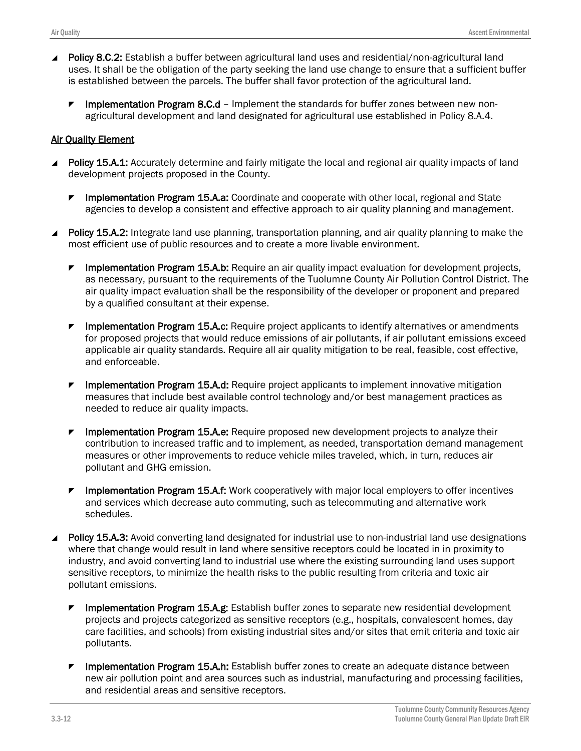- Policy 8.C.2: Establish a buffer between agricultural land uses and residential/non-agricultural land uses. It shall be the obligation of the party seeking the land use change to ensure that a sufficient buffer is established between the parcels. The buffer shall favor protection of the agricultural land.
	- $\blacktriangleright$  Implementation Program 8.C.d Implement the standards for buffer zones between new nonagricultural development and land designated for agricultural use established in Policy 8.A.4.

#### Air Quality Element

- Policy 15.A.1: Accurately determine and fairly mitigate the local and regional air quality impacts of land development projects proposed in the County.
	- $\blacktriangleright$  Implementation Program 15.A.a: Coordinate and cooperate with other local, regional and State agencies to develop a consistent and effective approach to air quality planning and management.
- **Policy 15.A.2:** Integrate land use planning, transportation planning, and air quality planning to make the most efficient use of public resources and to create a more livable environment.
	- Implementation Program 15.A.b: Require an air quality impact evaluation for development projects, as necessary, pursuant to the requirements of the Tuolumne County Air Pollution Control District. The air quality impact evaluation shall be the responsibility of the developer or proponent and prepared by a qualified consultant at their expense.
	- $\blacktriangleright$  Implementation Program 15.A.c: Require project applicants to identify alternatives or amendments for proposed projects that would reduce emissions of air pollutants, if air pollutant emissions exceed applicable air quality standards. Require all air quality mitigation to be real, feasible, cost effective, and enforceable.
	- **F** Implementation Program 15.A.d: Require project applicants to implement innovative mitigation measures that include best available control technology and/or best management practices as needed to reduce air quality impacts.
	- $\blacktriangleright$  Implementation Program 15.A.e: Require proposed new development projects to analyze their contribution to increased traffic and to implement, as needed, transportation demand management measures or other improvements to reduce vehicle miles traveled, which, in turn, reduces air pollutant and GHG emission.
	- $\blacktriangleright$  Implementation Program 15.A.f: Work cooperatively with major local employers to offer incentives and services which decrease auto commuting, such as telecommuting and alternative work schedules.
- Policy 15.A.3: Avoid converting land designated for industrial use to non-industrial land use designations where that change would result in land where sensitive receptors could be located in in proximity to industry, and avoid converting land to industrial use where the existing surrounding land uses support sensitive receptors, to minimize the health risks to the public resulting from criteria and toxic air pollutant emissions.
	- **F** Implementation Program 15.A.g: Establish buffer zones to separate new residential development projects and projects categorized as sensitive receptors (e.g., hospitals, convalescent homes, day care facilities, and schools) from existing industrial sites and/or sites that emit criteria and toxic air pollutants.
	- $\blacktriangleright$  Implementation Program 15.A.h: Establish buffer zones to create an adequate distance between new air pollution point and area sources such as industrial, manufacturing and processing facilities, and residential areas and sensitive receptors.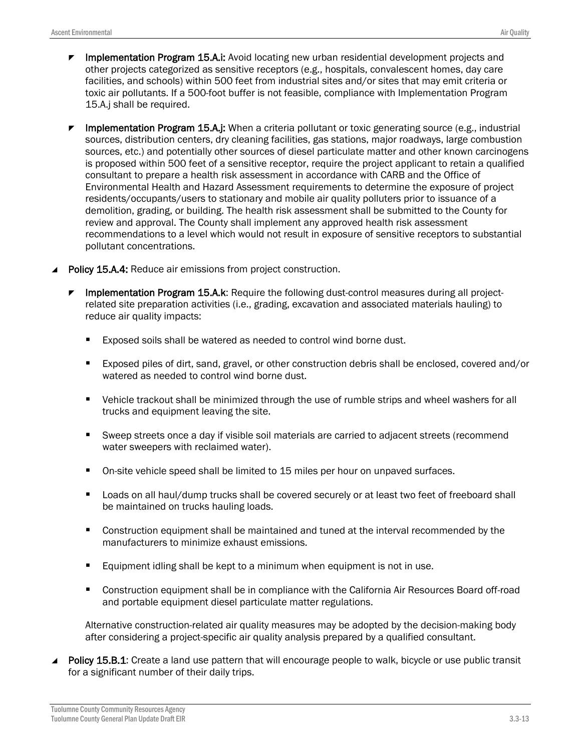- Implementation Program 15.A.i: Avoid locating new urban residential development projects and other projects categorized as sensitive receptors (e.g., hospitals, convalescent homes, day care facilities, and schools) within 500 feet from industrial sites and/or sites that may emit criteria or toxic air pollutants. If a 500-foot buffer is not feasible, compliance with Implementation Program 15.A.j shall be required.
- **F** Implementation Program 15.A.j: When a criteria pollutant or toxic generating source (e.g., industrial sources, distribution centers, dry cleaning facilities, gas stations, major roadways, large combustion sources, etc.) and potentially other sources of diesel particulate matter and other known carcinogens is proposed within 500 feet of a sensitive receptor, require the project applicant to retain a qualified consultant to prepare a health risk assessment in accordance with CARB and the Office of Environmental Health and Hazard Assessment requirements to determine the exposure of project residents/occupants/users to stationary and mobile air quality polluters prior to issuance of a demolition, grading, or building. The health risk assessment shall be submitted to the County for review and approval. The County shall implement any approved health risk assessment recommendations to a level which would not result in exposure of sensitive receptors to substantial pollutant concentrations.
- ▲ Policy 15.A.4: Reduce air emissions from project construction.
	- Implementation Program 15.A.k: Require the following dust-control measures during all projectrelated site preparation activities (i.e., grading, excavation and associated materials hauling) to reduce air quality impacts:
		- Exposed soils shall be watered as needed to control wind borne dust.
		- Exposed piles of dirt, sand, gravel, or other construction debris shall be enclosed, covered and/or watered as needed to control wind borne dust.
		- **•** Vehicle trackout shall be minimized through the use of rumble strips and wheel washers for all trucks and equipment leaving the site.
		- Sweep streets once a day if visible soil materials are carried to adjacent streets (recommend water sweepers with reclaimed water).
		- On-site vehicle speed shall be limited to 15 miles per hour on unpaved surfaces.
		- **Loads on all haul/dump trucks shall be covered securely or at least two feet of freeboard shall** be maintained on trucks hauling loads.
		- **Construction equipment shall be maintained and tuned at the interval recommended by the** manufacturers to minimize exhaust emissions.
		- **Equipment idling shall be kept to a minimum when equipment is not in use.**
		- **Construction equipment shall be in compliance with the California Air Resources Board off-road** and portable equipment diesel particulate matter regulations.

Alternative construction-related air quality measures may be adopted by the decision-making body after considering a project-specific air quality analysis prepared by a qualified consultant.

**Policy 15.B.1:** Create a land use pattern that will encourage people to walk, bicycle or use public transit for a significant number of their daily trips.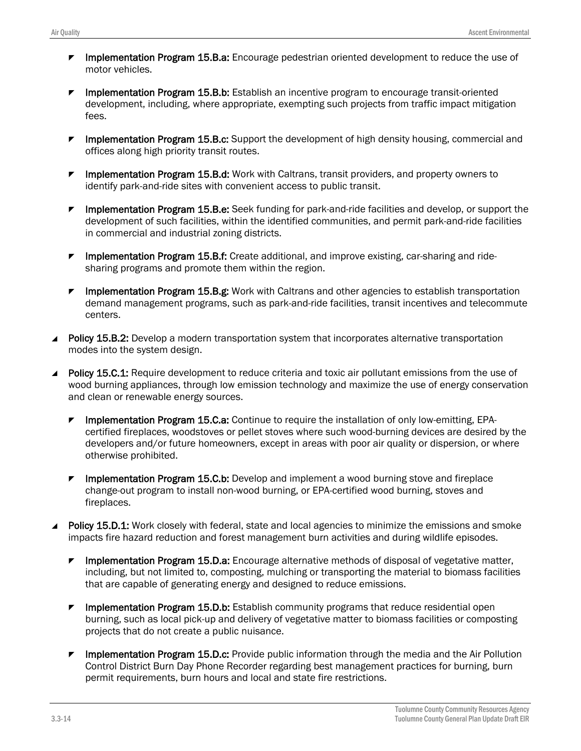- **F** Implementation Program 15.B.a: Encourage pedestrian oriented development to reduce the use of motor vehicles.
- **F** Implementation Program 15.B.b: Establish an incentive program to encourage transit-oriented development, including, where appropriate, exempting such projects from traffic impact mitigation fees.
- **F** Implementation Program 15.B.c: Support the development of high density housing, commercial and offices along high priority transit routes.
- **F** Implementation Program 15.B.d: Work with Caltrans, transit providers, and property owners to identify park-and-ride sites with convenient access to public transit.
- $\blacktriangleright$  Implementation Program 15.B.e: Seek funding for park-and-ride facilities and develop, or support the development of such facilities, within the identified communities, and permit park-and-ride facilities in commercial and industrial zoning districts.
- **F** Implementation Program 15.B.f: Create additional, and improve existing, car-sharing and ridesharing programs and promote them within the region.
- $\blacktriangleright$  Implementation Program 15.B.g: Work with Caltrans and other agencies to establish transportation demand management programs, such as park-and-ride facilities, transit incentives and telecommute centers.
- **Policy 15.B.2:** Develop a modern transportation system that incorporates alternative transportation modes into the system design.
- Policy 15.C.1: Require development to reduce criteria and toxic air pollutant emissions from the use of wood burning appliances, through low emission technology and maximize the use of energy conservation and clean or renewable energy sources.
	- **F** Implementation Program 15.C.a: Continue to require the installation of only low-emitting, EPAcertified fireplaces, woodstoves or pellet stoves where such wood-burning devices are desired by the developers and/or future homeowners, except in areas with poor air quality or dispersion, or where otherwise prohibited.
	- Implementation Program 15.C.b: Develop and implement a wood burning stove and fireplace change-out program to install non-wood burning, or EPA-certified wood burning, stoves and fireplaces.
- **Policy 15.D.1:** Work closely with federal, state and local agencies to minimize the emissions and smoke impacts fire hazard reduction and forest management burn activities and during wildlife episodes.
	- $\blacktriangleright$  Implementation Program 15.D.a: Encourage alternative methods of disposal of vegetative matter, including, but not limited to, composting, mulching or transporting the material to biomass facilities that are capable of generating energy and designed to reduce emissions.
	- **F** Implementation Program 15.D.b: Establish community programs that reduce residential open burning, such as local pick-up and delivery of vegetative matter to biomass facilities or composting projects that do not create a public nuisance.
	- $\blacktriangleright$  Implementation Program 15.D.c: Provide public information through the media and the Air Pollution Control District Burn Day Phone Recorder regarding best management practices for burning, burn permit requirements, burn hours and local and state fire restrictions.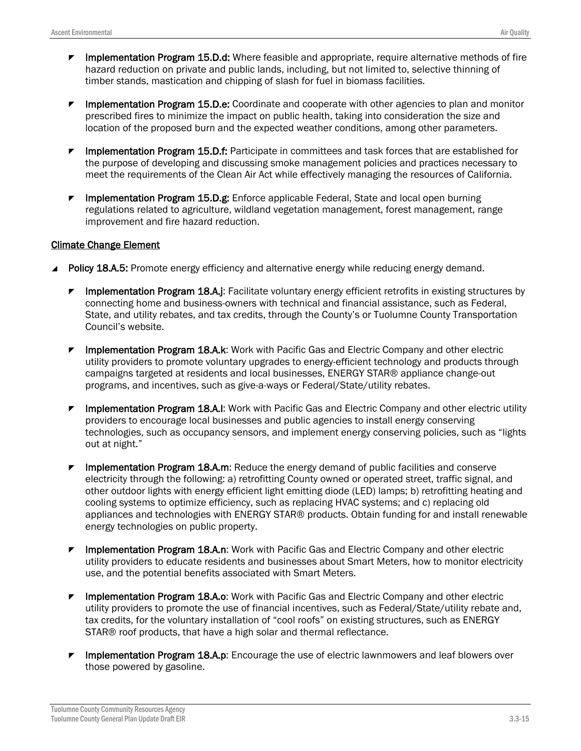- Implementation Program 15.D.d: Where feasible and appropriate, require alternative methods of fire hazard reduction on private and public lands, including, but not limited to, selective thinning of timber stands, mastication and chipping of slash for fuel in biomass facilities.
- **F** Implementation Program 15.D.e: Coordinate and cooperate with other agencies to plan and monitor prescribed fires to minimize the impact on public health, taking into consideration the size and location of the proposed burn and the expected weather conditions, among other parameters.
- **F** Implementation Program 15.D.f: Participate in committees and task forces that are established for the purpose of developing and discussing smoke management policies and practices necessary to meet the requirements of the Clean Air Act while effectively managing the resources of California.
- Implementation Program 15.D.g: Enforce applicable Federal, State and local open burning regulations related to agriculture, wildland vegetation management, forest management, range improvement and fire hazard reduction.

#### Climate Change Element

- **Policy 18.A.5:** Promote energy efficiency and alternative energy while reducing energy demand.
	- $\blacktriangleright$  Implementation Program 18.A.j: Facilitate voluntary energy efficient retrofits in existing structures by connecting home and business-owners with technical and financial assistance, such as Federal, State, and utility rebates, and tax credits, through the County's or Tuolumne County Transportation Council's website.
	- $\blacktriangleright$  Implementation Program 18.A.k: Work with Pacific Gas and Electric Company and other electric utility providers to promote voluntary upgrades to energy-efficient technology and products through campaigns targeted at residents and local businesses, ENERGY STAR® appliance change-out programs, and incentives, such as give-a-ways or Federal/State/utility rebates.
	- $\blacktriangleright$  Implementation Program 18.A.I: Work with Pacific Gas and Electric Company and other electric utility providers to encourage local businesses and public agencies to install energy conserving technologies, such as occupancy sensors, and implement energy conserving policies, such as "lights out at night."
	- **F** Implementation Program 18.A.m: Reduce the energy demand of public facilities and conserve electricity through the following: a) retrofitting County owned or operated street, traffic signal, and other outdoor lights with energy efficient light emitting diode (LED) lamps; b) retrofitting heating and cooling systems to optimize efficiency, such as replacing HVAC systems; and c) replacing old appliances and technologies with ENERGY STAR® products. Obtain funding for and install renewable energy technologies on public property.
	- **F** Implementation Program 18.A.n: Work with Pacific Gas and Electric Company and other electric utility providers to educate residents and businesses about Smart Meters, how to monitor electricity use, and the potential benefits associated with Smart Meters.
	- **F** Implementation Program 18.A.o: Work with Pacific Gas and Electric Company and other electric utility providers to promote the use of financial incentives, such as Federal/State/utility rebate and, tax credits, for the voluntary installation of "cool roofs" on existing structures, such as ENERGY STAR® roof products, that have a high solar and thermal reflectance.
	- **F** Implementation Program 18.A.p: Encourage the use of electric lawnmowers and leaf blowers over those powered by gasoline.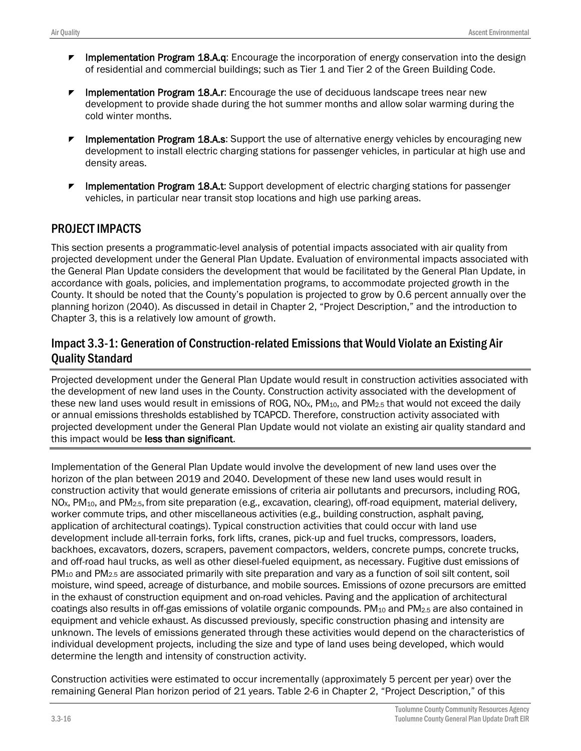- **F** Implementation Program 18.A.q: Encourage the incorporation of energy conservation into the design of residential and commercial buildings; such as Tier 1 and Tier 2 of the Green Building Code.
- **F** Implementation Program 18.A.r: Encourage the use of deciduous landscape trees near new development to provide shade during the hot summer months and allow solar warming during the cold winter months.
- Implementation Program 18.A.s: Support the use of alternative energy vehicles by encouraging new development to install electric charging stations for passenger vehicles, in particular at high use and density areas.
- $\blacktriangleright$  Implementation Program 18.A.t: Support development of electric charging stations for passenger vehicles, in particular near transit stop locations and high use parking areas.

#### PROJECT IMPACTS

This section presents a programmatic-level analysis of potential impacts associated with air quality from projected development under the General Plan Update. Evaluation of environmental impacts associated with the General Plan Update considers the development that would be facilitated by the General Plan Update, in accordance with goals, policies, and implementation programs, to accommodate projected growth in the County. It should be noted that the County's population is projected to grow by 0.6 percent annually over the planning horizon (2040). As discussed in detail in Chapter 2, "Project Description," and the introduction to Chapter 3, this is a relatively low amount of growth.

#### Impact 3.3-1: Generation of Construction-related Emissions that Would Violate an Existing Air Quality Standard

Projected development under the General Plan Update would result in construction activities associated with the development of new land uses in the County. Construction activity associated with the development of these new land uses would result in emissions of ROG,  $NO<sub>x</sub>$ ,  $PM<sub>10</sub>$ , and  $PM<sub>2.5</sub>$  that would not exceed the daily or annual emissions thresholds established by TCAPCD. Therefore, construction activity associated with projected development under the General Plan Update would not violate an existing air quality standard and this impact would be less than significant.

Implementation of the General Plan Update would involve the development of new land uses over the horizon of the plan between 2019 and 2040. Development of these new land uses would result in construction activity that would generate emissions of criteria air pollutants and precursors, including ROG, NOX, PM10, and PM2.5,from site preparation (e.g., excavation, clearing), off-road equipment, material delivery, worker commute trips, and other miscellaneous activities (e.g., building construction, asphalt paving, application of architectural coatings). Typical construction activities that could occur with land use development include all-terrain forks, fork lifts, cranes, pick-up and fuel trucks, compressors, loaders, backhoes, excavators, dozers, scrapers, pavement compactors, welders, concrete pumps, concrete trucks, and off-road haul trucks, as well as other diesel-fueled equipment, as necessary. Fugitive dust emissions of PM<sub>10</sub> and PM<sub>2.5</sub> are associated primarily with site preparation and vary as a function of soil silt content, soil moisture, wind speed, acreage of disturbance, and mobile sources. Emissions of ozone precursors are emitted in the exhaust of construction equipment and on-road vehicles. Paving and the application of architectural coatings also results in off-gas emissions of volatile organic compounds. PM<sub>10</sub> and PM<sub>2.5</sub> are also contained in equipment and vehicle exhaust. As discussed previously, specific construction phasing and intensity are unknown. The levels of emissions generated through these activities would depend on the characteristics of individual development projects, including the size and type of land uses being developed, which would determine the length and intensity of construction activity.

Construction activities were estimated to occur incrementally (approximately 5 percent per year) over the remaining General Plan horizon period of 21 years. Table 2-6 in Chapter 2, "Project Description," of this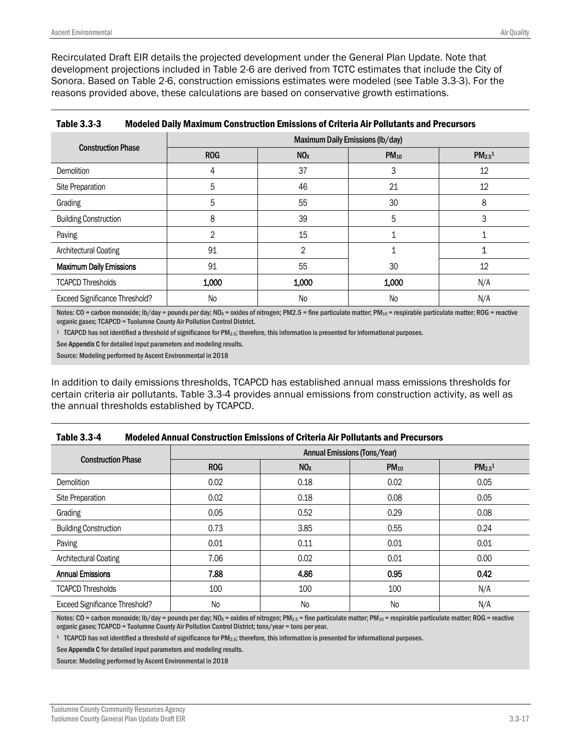Recirculated Draft EIR details the projected development under the General Plan Update. Note that development projections included in Table 2-6 are derived from TCTC estimates that include the City of Sonora. Based on Table 2-6, construction emissions estimates were modeled (see Table 3.3-3). For the reasons provided above, these calculations are based on conservative growth estimations.

|                                       | Maximum Daily Emissions (lb/day) |                 |           |              |  |  |
|---------------------------------------|----------------------------------|-----------------|-----------|--------------|--|--|
| <b>Construction Phase</b>             | <b>ROG</b>                       | NO <sub>x</sub> | $PM_{10}$ | $PM_{2.5}^1$ |  |  |
| <b>Demolition</b>                     | 4                                | 37              | 3         | 12           |  |  |
| Site Preparation                      | 5                                | 46              | 21        | 12           |  |  |
| Grading                               | 5                                | 55              | 30        | 8            |  |  |
| <b>Building Construction</b>          | 8                                | 39              | 5         | 3            |  |  |
| Paving                                | 2                                | 15              |           |              |  |  |
| Architectural Coating                 | 91                               | $\overline{2}$  |           |              |  |  |
| <b>Maximum Daily Emissions</b>        | 91                               | 55              | 30        | 12           |  |  |
| <b>TCAPCD Thresholds</b>              | 1,000                            | 1,000           | 1,000     | N/A          |  |  |
| <b>Exceed Significance Threshold?</b> | No                               | <b>No</b>       | No        | N/A          |  |  |

| <b>Table 3.3-3</b> | <b>Modeled Daily Maximum Construction Emissions of Criteria Air Pollutants and Precursors</b> |
|--------------------|-----------------------------------------------------------------------------------------------|
|--------------------|-----------------------------------------------------------------------------------------------|

Notes:  $CO =$  carbon monoxide; lb/day = pounds per day; NO<sub>x</sub> = oxides of nitrogen; PM2.5 = fine particulate matter; PM<sub>10</sub> = respirable particulate matter; ROG = reactive organic gases; TCAPCD = Tuolumne County Air Pollution Control District.

1 TCAPCD has not identified a threshold of significance for PM2.5; therefore, this information is presented for informational purposes.

See Appendix C for detailed input parameters and modeling results.

Source: Modeling performed by Ascent Environmental in 2018

In addition to daily emissions thresholds, TCAPCD has established annual mass emissions thresholds for certain criteria air pollutants. Table 3.3-4 provides annual emissions from construction activity, as well as the annual thresholds established by TCAPCD.

| Table 3.3-4 | <b>Modeled Annual Construction Emissions of Criteria Air Pollutants and Precursors</b> |
|-------------|----------------------------------------------------------------------------------------|
|-------------|----------------------------------------------------------------------------------------|

|                                       | <b>Annual Emissions (Tons/Year)</b> |                 |                |                                |  |
|---------------------------------------|-------------------------------------|-----------------|----------------|--------------------------------|--|
| <b>Construction Phase</b>             | <b>ROG</b>                          | NO <sub>x</sub> | $PM_{10}$      | PM <sub>2.5</sub> <sup>1</sup> |  |
| Demolition                            | 0.02                                | 0.18            | 0.02           | 0.05                           |  |
| Site Preparation                      | 0.02                                | 0.18            | 0.08           | 0.05                           |  |
| Grading                               | 0.05                                | 0.52            | 0.29           | 0.08                           |  |
| <b>Building Construction</b>          | 0.73                                | 3.85            | 0.55           | 0.24                           |  |
| Paving                                | 0.01                                | 0.11            | 0.01           | 0.01                           |  |
| Architectural Coating                 | 7.06                                | 0.02            | 0.01           | 0.00                           |  |
| <b>Annual Emissions</b>               | 7.88                                | 4.86            | 0.95           | 0.42                           |  |
| <b>TCAPCD Thresholds</b>              | 100                                 | 100             | 100            | N/A                            |  |
| <b>Exceed Significance Threshold?</b> | <b>No</b>                           | <b>No</b>       | N <sub>o</sub> | N/A                            |  |

Notes: CO = carbon monoxide; lb/day = pounds per day; NO<sub>x</sub> = oxides of nitrogen; PM<sub>2.5</sub> = fine particulate matter; PM<sub>10</sub> = respirable particulate matter; ROG = reactive organic gases; TCAPCD = Tuolumne County Air Pollution Control District; tons/year = tons per year.

1 TCAPCD has not identified a threshold of significance for PM2.5; therefore, this information is presented for informational purposes.

See Appendix C for detailed input parameters and modeling results.

Source: Modeling performed by Ascent Environmental in 2018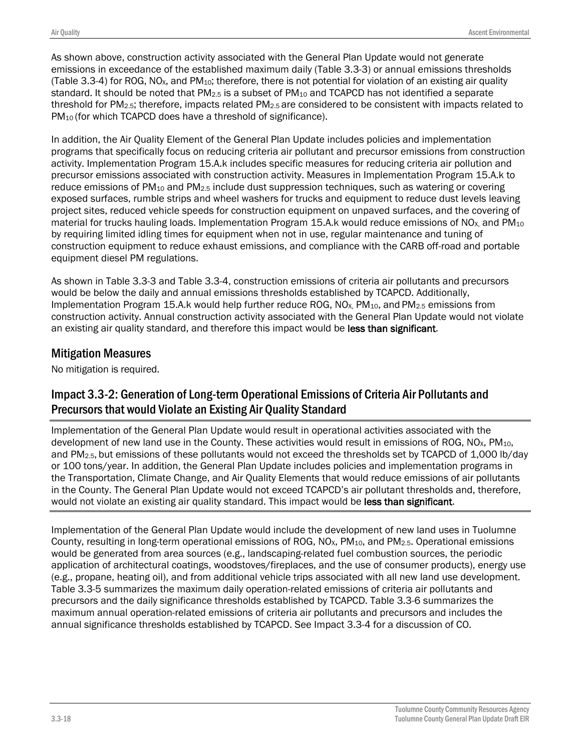As shown above, construction activity associated with the General Plan Update would not generate emissions in exceedance of the established maximum daily (Table 3.3-3) or annual emissions thresholds (Table 3.3-4) for ROG, NO<sub>x</sub>, and PM<sub>10</sub>; therefore, there is not potential for violation of an existing air quality standard. It should be noted that  $PM_{2.5}$  is a subset of  $PM_{10}$  and TCAPCD has not identified a separate threshold for PM2.5; therefore, impacts related PM2.5 are considered to be consistent with impacts related to PM<sub>10</sub> (for which TCAPCD does have a threshold of significance).

In addition, the Air Quality Element of the General Plan Update includes policies and implementation programs that specifically focus on reducing criteria air pollutant and precursor emissions from construction activity. Implementation Program 15.A.k includes specific measures for reducing criteria air pollution and precursor emissions associated with construction activity. Measures in Implementation Program 15.A.k to reduce emissions of  $PM_{10}$  and  $PM_{2.5}$  include dust suppression techniques, such as watering or covering exposed surfaces, rumble strips and wheel washers for trucks and equipment to reduce dust levels leaving project sites, reduced vehicle speeds for construction equipment on unpaved surfaces, and the covering of material for trucks hauling loads. Implementation Program 15.A.k would reduce emissions of NO<sub>X</sub> and PM<sub>10</sub> by requiring limited idling times for equipment when not in use, regular maintenance and tuning of construction equipment to reduce exhaust emissions, and compliance with the CARB off-road and portable equipment diesel PM regulations.

As shown in Table 3.3-3 and Table 3.3-4, construction emissions of criteria air pollutants and precursors would be below the daily and annual emissions thresholds established by TCAPCD. Additionally, Implementation Program 15.A.k would help further reduce ROG,  $NO<sub>X</sub>$ , PM<sub>10</sub>, and PM<sub>2.5</sub> emissions from construction activity. Annual construction activity associated with the General Plan Update would not violate an existing air quality standard, and therefore this impact would be less than significant.

### Mitigation Measures

No mitigation is required.

## Impact 3.3-2: Generation of Long-term Operational Emissions of Criteria Air Pollutants and Precursors that would Violate an Existing Air Quality Standard

Implementation of the General Plan Update would result in operational activities associated with the development of new land use in the County. These activities would result in emissions of ROG, NO<sub>x</sub>, PM<sub>10</sub>, and PM<sub>2.5</sub>, but emissions of these pollutants would not exceed the thresholds set by TCAPCD of 1,000 lb/day or 100 tons/year. In addition, the General Plan Update includes policies and implementation programs in the Transportation, Climate Change, and Air Quality Elements that would reduce emissions of air pollutants in the County. The General Plan Update would not exceed TCAPCD's air pollutant thresholds and, therefore, would not violate an existing air quality standard. This impact would be less than significant.

Implementation of the General Plan Update would include the development of new land uses in Tuolumne County, resulting in long-term operational emissions of ROG, NO<sub>x</sub>, PM<sub>10</sub>, and PM<sub>2.5</sub>. Operational emissions would be generated from area sources (e.g., landscaping-related fuel combustion sources, the periodic application of architectural coatings, woodstoves/fireplaces, and the use of consumer products), energy use (e.g., propane, heating oil), and from additional vehicle trips associated with all new land use development. Table 3.3-5 summarizes the maximum daily operation-related emissions of criteria air pollutants and precursors and the daily significance thresholds established by TCAPCD. Table 3.3-6 summarizes the maximum annual operation-related emissions of criteria air pollutants and precursors and includes the annual significance thresholds established by TCAPCD. See Impact 3.3-4 for a discussion of CO.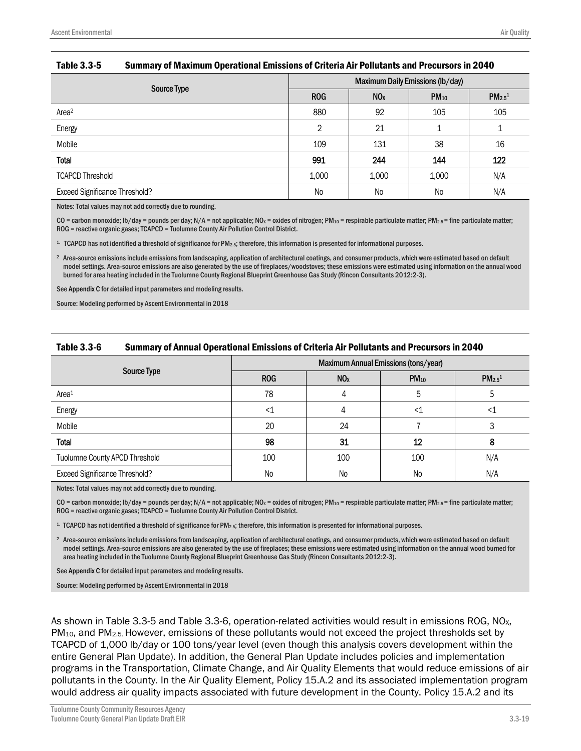| Source Type                    | <b>Maximum Daily Emissions (lb/day)</b> |                 |                |                                |  |
|--------------------------------|-----------------------------------------|-----------------|----------------|--------------------------------|--|
|                                | <b>ROG</b>                              | NO <sub>x</sub> | $PM_{10}$      | PM <sub>2.5</sub> <sup>1</sup> |  |
| Area <sup>2</sup>              | 880                                     | 92              | 105            | 105                            |  |
| Energy                         | 2                                       | 21              |                |                                |  |
| Mobile                         | 109                                     | 131             | 38             | 16                             |  |
| Total                          | 991                                     | 244             | 144            | 122                            |  |
| <b>TCAPCD Threshold</b>        | 1,000                                   | 1,000           | 1,000          | N/A                            |  |
| Exceed Significance Threshold? | <b>No</b>                               | No              | N <sub>o</sub> | N/A                            |  |

#### Table 3.3-5 Summary of Maximum Operational Emissions of Criteria Air Pollutants and Precursors in 2040

Notes: Total values may not add correctly due to rounding.

CO = carbon monoxide; lb/day = pounds per day; N/A = not applicable; NO<sub>x</sub> = oxides of nitrogen; PM<sub>10</sub> = respirable particulate matter; PM<sub>2.5</sub> = fine particulate matter; ROG = reactive organic gases; TCAPCD = Tuolumne County Air Pollution Control District.

1. TCAPCD has not identified a threshold of significance for PM2.5; therefore, this information is presented for informational purposes.

<sup>2</sup> Area-source emissions include emissions from landscaping, application of architectural coatings, and consumer products, which were estimated based on default model settings. Area-source emissions are also generated by the use of fireplaces/woodstoves; these emissions were estimated using information on the annual wood burned for area heating included in the Tuolumne County Regional Blueprint Greenhouse Gas Study (Rincon Consultants 2012:2-3).

See Appendix C for detailed input parameters and modeling results.

Source: Modeling performed by Ascent Environmental in 2018

#### Table 3.3-6 Summary of Annual Operational Emissions of Criteria Air Pollutants and Precursors in 2040

|                                       | Maximum Annual Emissions (tons/year) |                 |                |                         |
|---------------------------------------|--------------------------------------|-----------------|----------------|-------------------------|
| Source Type                           | <b>ROG</b>                           | NO <sub>X</sub> | $PM_{10}$      | $PM_{2.5}$ <sup>1</sup> |
| Area <sup>1</sup>                     | 78                                   |                 | 5              |                         |
| Energy                                | <1                                   |                 |                |                         |
| Mobile                                | 20                                   | 24              |                |                         |
| Total                                 | 98                                   | 31              | 12             |                         |
| Tuolumne County APCD Threshold        | 100                                  | 100             | 100            | N/A                     |
| <b>Exceed Significance Threshold?</b> | No                                   | <b>No</b>       | N <sub>o</sub> | N/A                     |

Notes: Total values may not add correctly due to rounding.

CO = carbon monoxide; lb/day = pounds per day; N/A = not applicable; NO<sub>x</sub> = oxides of nitrogen; PM<sub>10</sub> = respirable particulate matter; PM<sub>2.5</sub> = fine particulate matter; ROG = reactive organic gases; TCAPCD = Tuolumne County Air Pollution Control District.

1. TCAPCD has not identified a threshold of significance for PM2.5; therefore, this information is presented for informational purposes.

<sup>2</sup> Area-source emissions include emissions from landscaping, application of architectural coatings, and consumer products, which were estimated based on default model settings. Area-source emissions are also generated by the use of fireplaces; these emissions were estimated using information on the annual wood burned for area heating included in the Tuolumne County Regional Blueprint Greenhouse Gas Study (Rincon Consultants 2012:2-3).

See Appendix C for detailed input parameters and modeling results.

Source: Modeling performed by Ascent Environmental in 2018

As shown in Table 3.3-5 and Table 3.3-6, operation-related activities would result in emissions ROG, NO<sub>x</sub>, PM10, and PM2.5. However, emissions of these pollutants would not exceed the project thresholds set by TCAPCD of 1,000 lb/day or 100 tons/year level (even though this analysis covers development within the entire General Plan Update). In addition, the General Plan Update includes policies and implementation programs in the Transportation, Climate Change, and Air Quality Elements that would reduce emissions of air pollutants in the County. In the Air Quality Element, Policy 15.A.2 and its associated implementation program would address air quality impacts associated with future development in the County. Policy 15.A.2 and its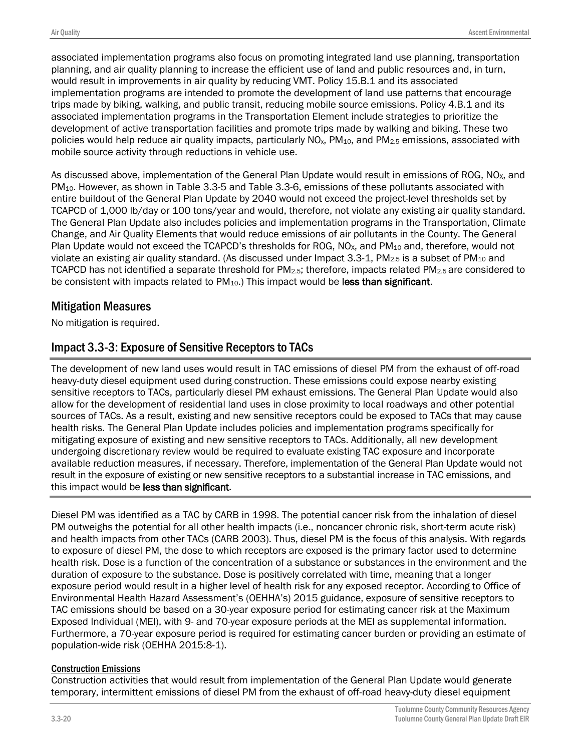associated implementation programs also focus on promoting integrated land use planning, transportation planning, and air quality planning to increase the efficient use of land and public resources and, in turn, would result in improvements in air quality by reducing VMT. Policy 15.B.1 and its associated implementation programs are intended to promote the development of land use patterns that encourage trips made by biking, walking, and public transit, reducing mobile source emissions. Policy 4.B.1 and its associated implementation programs in the Transportation Element include strategies to prioritize the development of active transportation facilities and promote trips made by walking and biking. These two policies would help reduce air quality impacts, particularly  $NO<sub>x</sub>$ ,  $PM<sub>10</sub>$ , and  $PM<sub>2.5</sub>$  emissions, associated with mobile source activity through reductions in vehicle use.

As discussed above, implementation of the General Plan Update would result in emissions of ROG,  $NO<sub>X</sub>$ , and PM10. However, as shown in Table 3.3-5 and Table 3.3-6, emissions of these pollutants associated with entire buildout of the General Plan Update by 2040 would not exceed the project-level thresholds set by TCAPCD of 1,000 lb/day or 100 tons/year and would, therefore, not violate any existing air quality standard. The General Plan Update also includes policies and implementation programs in the Transportation, Climate Change, and Air Quality Elements that would reduce emissions of air pollutants in the County. The General Plan Update would not exceed the TCAPCD's thresholds for ROG, NO<sub>x</sub>, and PM<sub>10</sub> and, therefore, would not violate an existing air quality standard. (As discussed under Impact 3.3-1, PM<sub>2.5</sub> is a subset of PM<sub>10</sub> and TCAPCD has not identified a separate threshold for  $PM_{2.5}$ ; therefore, impacts related  $PM_{2.5}$  are considered to be consistent with impacts related to PM<sub>10</sub>.) This impact would be less than significant.

#### Mitigation Measures

No mitigation is required.

### Impact 3.3-3: Exposure of Sensitive Receptors to TACs

The development of new land uses would result in TAC emissions of diesel PM from the exhaust of off-road heavy-duty diesel equipment used during construction. These emissions could expose nearby existing sensitive receptors to TACs, particularly diesel PM exhaust emissions. The General Plan Update would also allow for the development of residential land uses in close proximity to local roadways and other potential sources of TACs. As a result, existing and new sensitive receptors could be exposed to TACs that may cause health risks. The General Plan Update includes policies and implementation programs specifically for mitigating exposure of existing and new sensitive receptors to TACs. Additionally, all new development undergoing discretionary review would be required to evaluate existing TAC exposure and incorporate available reduction measures, if necessary. Therefore, implementation of the General Plan Update would not result in the exposure of existing or new sensitive receptors to a substantial increase in TAC emissions, and this impact would be less than significant.

Diesel PM was identified as a TAC by CARB in 1998. The potential cancer risk from the inhalation of diesel PM outweighs the potential for all other health impacts (i.e., noncancer chronic risk, short-term acute risk) and health impacts from other TACs (CARB 2003). Thus, diesel PM is the focus of this analysis. With regards to exposure of diesel PM, the dose to which receptors are exposed is the primary factor used to determine health risk. Dose is a function of the concentration of a substance or substances in the environment and the duration of exposure to the substance. Dose is positively correlated with time, meaning that a longer exposure period would result in a higher level of health risk for any exposed receptor. According to Office of Environmental Health Hazard Assessment's (OEHHA's) 2015 guidance, exposure of sensitive receptors to TAC emissions should be based on a 30-year exposure period for estimating cancer risk at the Maximum Exposed Individual (MEI), with 9- and 70-year exposure periods at the MEI as supplemental information. Furthermore, a 70-year exposure period is required for estimating cancer burden or providing an estimate of population-wide risk (OEHHA 2015:8-1).

#### Construction Emissions

Construction activities that would result from implementation of the General Plan Update would generate temporary, intermittent emissions of diesel PM from the exhaust of off-road heavy-duty diesel equipment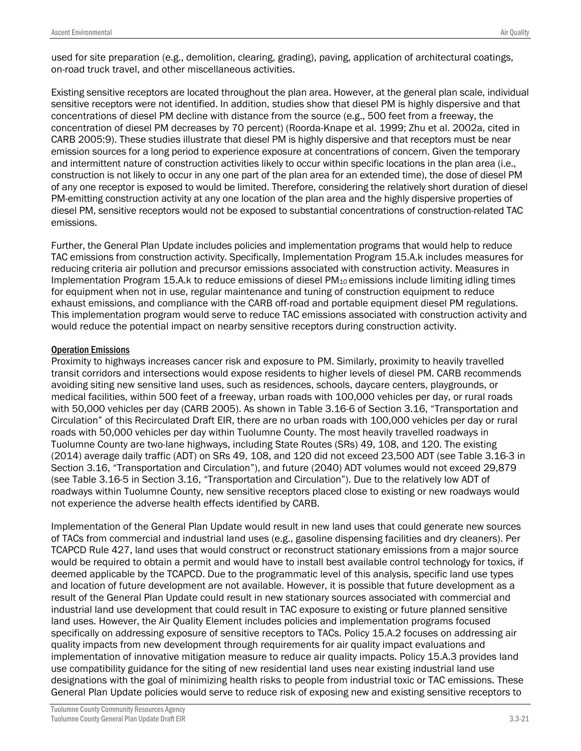used for site preparation (e.g., demolition, clearing, grading), paving, application of architectural coatings, on-road truck travel, and other miscellaneous activities.

Existing sensitive receptors are located throughout the plan area. However, at the general plan scale, individual sensitive receptors were not identified. In addition, studies show that diesel PM is highly dispersive and that concentrations of diesel PM decline with distance from the source (e.g., 500 feet from a freeway, the concentration of diesel PM decreases by 70 percent) (Roorda-Knape et al. 1999; Zhu et al. 2002a, cited in CARB 2005:9). These studies illustrate that diesel PM is highly dispersive and that receptors must be near emission sources for a long period to experience exposure at concentrations of concern. Given the temporary and intermittent nature of construction activities likely to occur within specific locations in the plan area (i.e., construction is not likely to occur in any one part of the plan area for an extended time), the dose of diesel PM of any one receptor is exposed to would be limited. Therefore, considering the relatively short duration of diesel PM-emitting construction activity at any one location of the plan area and the highly dispersive properties of diesel PM, sensitive receptors would not be exposed to substantial concentrations of construction-related TAC emissions.

Further, the General Plan Update includes policies and implementation programs that would help to reduce TAC emissions from construction activity. Specifically, Implementation Program 15.A.k includes measures for reducing criteria air pollution and precursor emissions associated with construction activity. Measures in Implementation Program 15.A.k to reduce emissions of diesel  $PM_{10}$  emissions include limiting idling times for equipment when not in use, regular maintenance and tuning of construction equipment to reduce exhaust emissions, and compliance with the CARB off-road and portable equipment diesel PM regulations. This implementation program would serve to reduce TAC emissions associated with construction activity and would reduce the potential impact on nearby sensitive receptors during construction activity.

#### Operation Emissions

Proximity to highways increases cancer risk and exposure to PM. Similarly, proximity to heavily travelled transit corridors and intersections would expose residents to higher levels of diesel PM. CARB recommends avoiding siting new sensitive land uses, such as residences, schools, daycare centers, playgrounds, or medical facilities, within 500 feet of a freeway, urban roads with 100,000 vehicles per day, or rural roads with 50,000 vehicles per day (CARB 2005). As shown in Table 3.16-6 of Section 3.16, "Transportation and Circulation" of this Recirculated Draft EIR, there are no urban roads with 100,000 vehicles per day or rural roads with 50,000 vehicles per day within Tuolumne County. The most heavily travelled roadways in Tuolumne County are two-lane highways, including State Routes (SRs) 49, 108, and 120. The existing (2014) average daily traffic (ADT) on SRs 49, 108, and 120 did not exceed 23,500 ADT (see Table 3.16-3 in Section 3.16, "Transportation and Circulation"), and future (2040) ADT volumes would not exceed 29,879 (see Table 3.16-5 in Section 3.16, "Transportation and Circulation"). Due to the relatively low ADT of roadways within Tuolumne County, new sensitive receptors placed close to existing or new roadways would not experience the adverse health effects identified by CARB.

Implementation of the General Plan Update would result in new land uses that could generate new sources of TACs from commercial and industrial land uses (e.g., gasoline dispensing facilities and dry cleaners). Per TCAPCD Rule 427, land uses that would construct or reconstruct stationary emissions from a major source would be required to obtain a permit and would have to install best available control technology for toxics, if deemed applicable by the TCAPCD. Due to the programmatic level of this analysis, specific land use types and location of future development are not available. However, it is possible that future development as a result of the General Plan Update could result in new stationary sources associated with commercial and industrial land use development that could result in TAC exposure to existing or future planned sensitive land uses. However, the Air Quality Element includes policies and implementation programs focused specifically on addressing exposure of sensitive receptors to TACs. Policy 15.A.2 focuses on addressing air quality impacts from new development through requirements for air quality impact evaluations and implementation of innovative mitigation measure to reduce air quality impacts. Policy 15.A.3 provides land use compatibility guidance for the siting of new residential land uses near existing industrial land use designations with the goal of minimizing health risks to people from industrial toxic or TAC emissions. These General Plan Update policies would serve to reduce risk of exposing new and existing sensitive receptors to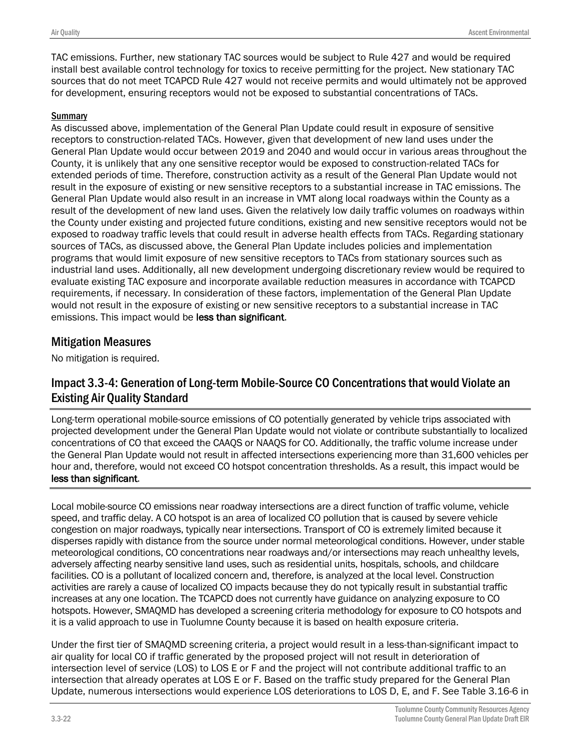TAC emissions. Further, new stationary TAC sources would be subject to Rule 427 and would be required install best available control technology for toxics to receive permitting for the project. New stationary TAC sources that do not meet TCAPCD Rule 427 would not receive permits and would ultimately not be approved for development, ensuring receptors would not be exposed to substantial concentrations of TACs.

#### **Summary**

As discussed above, implementation of the General Plan Update could result in exposure of sensitive receptors to construction-related TACs. However, given that development of new land uses under the General Plan Update would occur between 2019 and 2040 and would occur in various areas throughout the County, it is unlikely that any one sensitive receptor would be exposed to construction-related TACs for extended periods of time. Therefore, construction activity as a result of the General Plan Update would not result in the exposure of existing or new sensitive receptors to a substantial increase in TAC emissions. The General Plan Update would also result in an increase in VMT along local roadways within the County as a result of the development of new land uses. Given the relatively low daily traffic volumes on roadways within the County under existing and projected future conditions, existing and new sensitive receptors would not be exposed to roadway traffic levels that could result in adverse health effects from TACs. Regarding stationary sources of TACs, as discussed above, the General Plan Update includes policies and implementation programs that would limit exposure of new sensitive receptors to TACs from stationary sources such as industrial land uses. Additionally, all new development undergoing discretionary review would be required to evaluate existing TAC exposure and incorporate available reduction measures in accordance with TCAPCD requirements, if necessary. In consideration of these factors, implementation of the General Plan Update would not result in the exposure of existing or new sensitive receptors to a substantial increase in TAC emissions. This impact would be less than significant.

#### Mitigation Measures

No mitigation is required.

### Impact 3.3-4: Generation of Long-term Mobile-Source CO Concentrationsthat would Violate an Existing Air Quality Standard

Long-term operational mobile-source emissions of CO potentially generated by vehicle trips associated with projected development under the General Plan Update would not violate or contribute substantially to localized concentrations of CO that exceed the CAAQS or NAAQS for CO. Additionally, the traffic volume increase under the General Plan Update would not result in affected intersections experiencing more than 31,600 vehicles per hour and, therefore, would not exceed CO hotspot concentration thresholds. As a result, this impact would be less than significant.

Local mobile-source CO emissions near roadway intersections are a direct function of traffic volume, vehicle speed, and traffic delay. A CO hotspot is an area of localized CO pollution that is caused by severe vehicle congestion on major roadways, typically near intersections. Transport of CO is extremely limited because it disperses rapidly with distance from the source under normal meteorological conditions. However, under stable meteorological conditions, CO concentrations near roadways and/or intersections may reach unhealthy levels, adversely affecting nearby sensitive land uses, such as residential units, hospitals, schools, and childcare facilities. CO is a pollutant of localized concern and, therefore, is analyzed at the local level. Construction activities are rarely a cause of localized CO impacts because they do not typically result in substantial traffic increases at any one location. The TCAPCD does not currently have guidance on analyzing exposure to CO hotspots. However, SMAQMD has developed a screening criteria methodology for exposure to CO hotspots and it is a valid approach to use in Tuolumne County because it is based on health exposure criteria.

Under the first tier of SMAQMD screening criteria, a project would result in a less-than-significant impact to air quality for local CO if traffic generated by the proposed project will not result in deterioration of intersection level of service (LOS) to LOS E or F and the project will not contribute additional traffic to an intersection that already operates at LOS E or F. Based on the traffic study prepared for the General Plan Update, numerous intersections would experience LOS deteriorations to LOS D, E, and F. See Table 3.16-6 in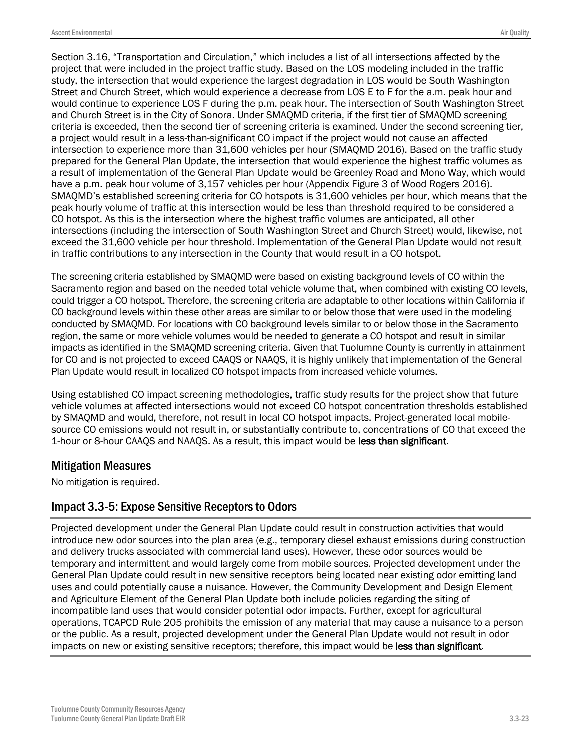Section 3.16, "Transportation and Circulation," which includes a list of all intersections affected by the project that were included in the project traffic study. Based on the LOS modeling included in the traffic study, the intersection that would experience the largest degradation in LOS would be South Washington Street and Church Street, which would experience a decrease from LOS E to F for the a.m. peak hour and would continue to experience LOS F during the p.m. peak hour. The intersection of South Washington Street and Church Street is in the City of Sonora. Under SMAQMD criteria, if the first tier of SMAQMD screening criteria is exceeded, then the second tier of screening criteria is examined. Under the second screening tier, a project would result in a less-than-significant CO impact if the project would not cause an affected intersection to experience more than 31,600 vehicles per hour (SMAQMD 2016). Based on the traffic study prepared for the General Plan Update, the intersection that would experience the highest traffic volumes as a result of implementation of the General Plan Update would be Greenley Road and Mono Way, which would have a p.m. peak hour volume of 3,157 vehicles per hour (Appendix Figure 3 of Wood Rogers 2016). SMAQMD's established screening criteria for CO hotspots is 31,600 vehicles per hour, which means that the peak hourly volume of traffic at this intersection would be less than threshold required to be considered a CO hotspot. As this is the intersection where the highest traffic volumes are anticipated, all other intersections (including the intersection of South Washington Street and Church Street) would, likewise, not exceed the 31,600 vehicle per hour threshold. Implementation of the General Plan Update would not result in traffic contributions to any intersection in the County that would result in a CO hotspot.

The screening criteria established by SMAQMD were based on existing background levels of CO within the Sacramento region and based on the needed total vehicle volume that, when combined with existing CO levels, could trigger a CO hotspot. Therefore, the screening criteria are adaptable to other locations within California if CO background levels within these other areas are similar to or below those that were used in the modeling conducted by SMAQMD. For locations with CO background levels similar to or below those in the Sacramento region, the same or more vehicle volumes would be needed to generate a CO hotspot and result in similar impacts as identified in the SMAQMD screening criteria. Given that Tuolumne County is currently in attainment for CO and is not projected to exceed CAAQS or NAAQS, it is highly unlikely that implementation of the General Plan Update would result in localized CO hotspot impacts from increased vehicle volumes.

Using established CO impact screening methodologies, traffic study results for the project show that future vehicle volumes at affected intersections would not exceed CO hotspot concentration thresholds established by SMAQMD and would, therefore, not result in local CO hotspot impacts. Project-generated local mobilesource CO emissions would not result in, or substantially contribute to, concentrations of CO that exceed the 1-hour or 8-hour CAAQS and NAAQS. As a result, this impact would be less than significant.

#### Mitigation Measures

No mitigation is required.

#### Impact 3.3-5: Expose Sensitive Receptors to Odors

Projected development under the General Plan Update could result in construction activities that would introduce new odor sources into the plan area (e.g., temporary diesel exhaust emissions during construction and delivery trucks associated with commercial land uses). However, these odor sources would be temporary and intermittent and would largely come from mobile sources. Projected development under the General Plan Update could result in new sensitive receptors being located near existing odor emitting land uses and could potentially cause a nuisance. However, the Community Development and Design Element and Agriculture Element of the General Plan Update both include policies regarding the siting of incompatible land uses that would consider potential odor impacts. Further, except for agricultural operations, TCAPCD Rule 205 prohibits the emission of any material that may cause a nuisance to a person or the public. As a result, projected development under the General Plan Update would not result in odor impacts on new or existing sensitive receptors; therefore, this impact would be less than significant.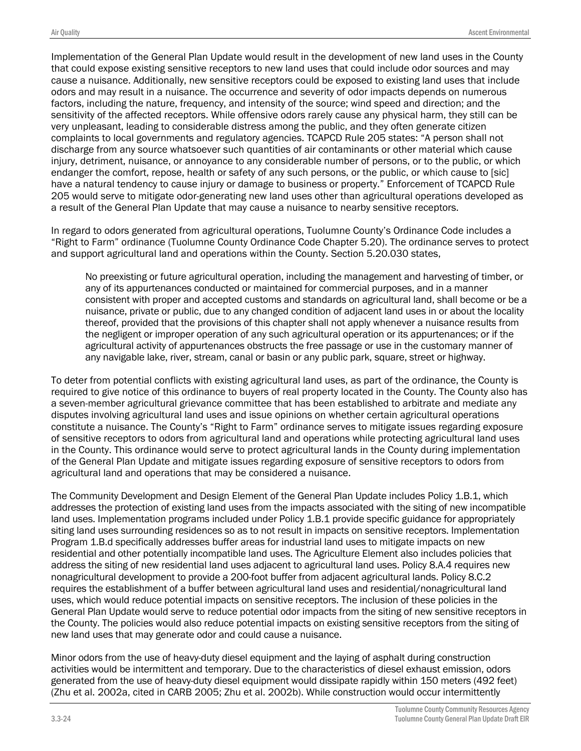Implementation of the General Plan Update would result in the development of new land uses in the County that could expose existing sensitive receptors to new land uses that could include odor sources and may cause a nuisance. Additionally, new sensitive receptors could be exposed to existing land uses that include odors and may result in a nuisance. The occurrence and severity of odor impacts depends on numerous factors, including the nature, frequency, and intensity of the source; wind speed and direction; and the sensitivity of the affected receptors. While offensive odors rarely cause any physical harm, they still can be very unpleasant, leading to considerable distress among the public, and they often generate citizen complaints to local governments and regulatory agencies. TCAPCD Rule 205 states: "A person shall not discharge from any source whatsoever such quantities of air contaminants or other material which cause injury, detriment, nuisance, or annoyance to any considerable number of persons, or to the public, or which endanger the comfort, repose, health or safety of any such persons, or the public, or which cause to [sic] have a natural tendency to cause injury or damage to business or property." Enforcement of TCAPCD Rule 205 would serve to mitigate odor-generating new land uses other than agricultural operations developed as a result of the General Plan Update that may cause a nuisance to nearby sensitive receptors.

In regard to odors generated from agricultural operations, Tuolumne County's Ordinance Code includes a "Right to Farm" ordinance (Tuolumne County Ordinance Code Chapter 5.20). The ordinance serves to protect and support agricultural land and operations within the County. Section 5.20.030 states,

No preexisting or future agricultural operation, including the management and harvesting of timber, or any of its appurtenances conducted or maintained for commercial purposes, and in a manner consistent with proper and accepted customs and standards on agricultural land, shall become or be a nuisance, private or public, due to any changed condition of adjacent land uses in or about the locality thereof, provided that the provisions of this chapter shall not apply whenever a nuisance results from the negligent or improper operation of any such agricultural operation or its appurtenances; or if the agricultural activity of appurtenances obstructs the free passage or use in the customary manner of any navigable lake, river, stream, canal or basin or any public park, square, street or highway.

To deter from potential conflicts with existing agricultural land uses, as part of the ordinance, the County is required to give notice of this ordinance to buyers of real property located in the County. The County also has a seven-member agricultural grievance committee that has been established to arbitrate and mediate any disputes involving agricultural land uses and issue opinions on whether certain agricultural operations constitute a nuisance. The County's "Right to Farm" ordinance serves to mitigate issues regarding exposure of sensitive receptors to odors from agricultural land and operations while protecting agricultural land uses in the County. This ordinance would serve to protect agricultural lands in the County during implementation of the General Plan Update and mitigate issues regarding exposure of sensitive receptors to odors from agricultural land and operations that may be considered a nuisance.

The Community Development and Design Element of the General Plan Update includes Policy 1.B.1, which addresses the protection of existing land uses from the impacts associated with the siting of new incompatible land uses. Implementation programs included under Policy 1.B.1 provide specific guidance for appropriately siting land uses surrounding residences so as to not result in impacts on sensitive receptors. Implementation Program 1.B.d specifically addresses buffer areas for industrial land uses to mitigate impacts on new residential and other potentially incompatible land uses. The Agriculture Element also includes policies that address the siting of new residential land uses adjacent to agricultural land uses. Policy 8.A.4 requires new nonagricultural development to provide a 200-foot buffer from adjacent agricultural lands. Policy 8.C.2 requires the establishment of a buffer between agricultural land uses and residential/nonagricultural land uses, which would reduce potential impacts on sensitive receptors. The inclusion of these policies in the General Plan Update would serve to reduce potential odor impacts from the siting of new sensitive receptors in the County. The policies would also reduce potential impacts on existing sensitive receptors from the siting of new land uses that may generate odor and could cause a nuisance.

Minor odors from the use of heavy-duty diesel equipment and the laying of asphalt during construction activities would be intermittent and temporary. Due to the characteristics of diesel exhaust emission, odors generated from the use of heavy-duty diesel equipment would dissipate rapidly within 150 meters (492 feet) (Zhu et al. 2002a, cited in CARB 2005; Zhu et al. 2002b). While construction would occur intermittently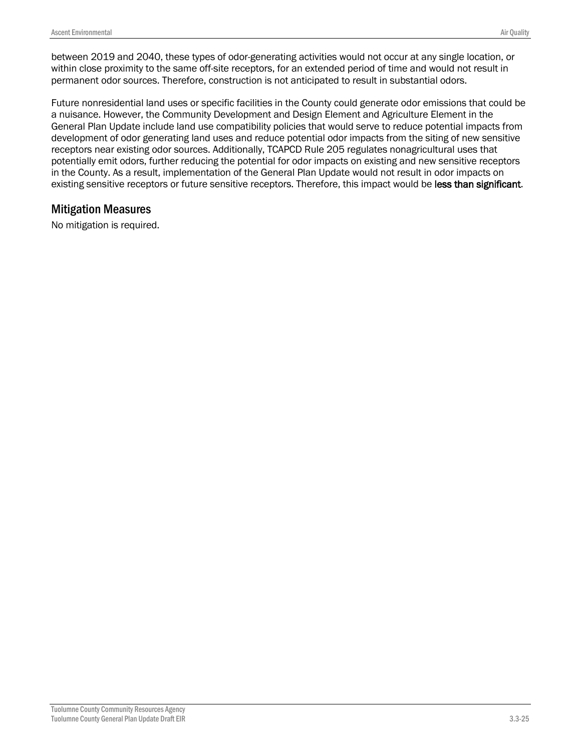between 2019 and 2040, these types of odor-generating activities would not occur at any single location, or within close proximity to the same off-site receptors, for an extended period of time and would not result in permanent odor sources. Therefore, construction is not anticipated to result in substantial odors.

Future nonresidential land uses or specific facilities in the County could generate odor emissions that could be a nuisance. However, the Community Development and Design Element and Agriculture Element in the General Plan Update include land use compatibility policies that would serve to reduce potential impacts from development of odor generating land uses and reduce potential odor impacts from the siting of new sensitive receptors near existing odor sources. Additionally, TCAPCD Rule 205 regulates nonagricultural uses that potentially emit odors, further reducing the potential for odor impacts on existing and new sensitive receptors in the County. As a result, implementation of the General Plan Update would not result in odor impacts on existing sensitive receptors or future sensitive receptors. Therefore, this impact would be less than significant.

#### Mitigation Measures

No mitigation is required.